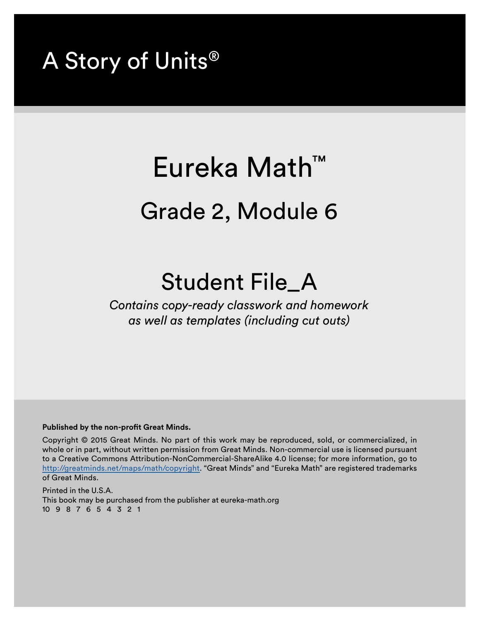## A Story of Units®

## Eureka Math™ Grade 2, Module 6

## Student File\_A

*Contains copy-ready classwork and homework as well as templates (including cut outs)*

## **Published by the non-profit Great Minds.**

Copyright © 2015 Great Minds. No part of this work may be reproduced, sold, or commercialized, in whole or in part, without written permission from Great Minds. Non-commercial use is licensed pursuant to a Creative Commons Attribution-NonCommercial-ShareAlike 4.0 license; for more information, go to http://greatminds.net/maps/math/copyright. "Great Minds" and "Eureka Math" are registered trademarks of Great Minds.

Printed in the U.S.A. This book may be purchased from the publisher at eureka-math.org 10 9 8 7 6 5 4 3 2 1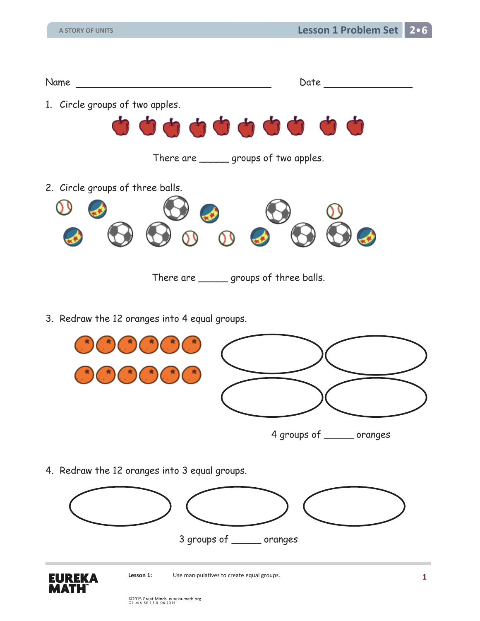

3. Redraw the 12 oranges into 4 equal groups.



4. Redraw the 12 oranges into 3 equal groups.



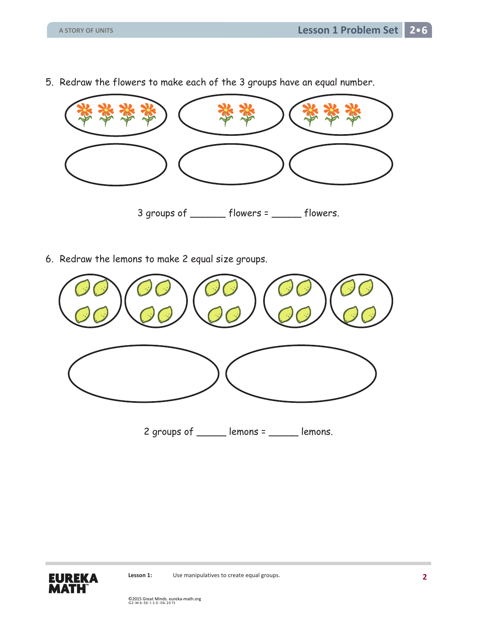5. Redraw the flowers to make each of the 3 groups have an equal number.



6. Redraw the lemons to make 2 equal size groups.



2 groups of \_\_\_\_\_\_ lemons = \_\_\_\_\_ lemons.

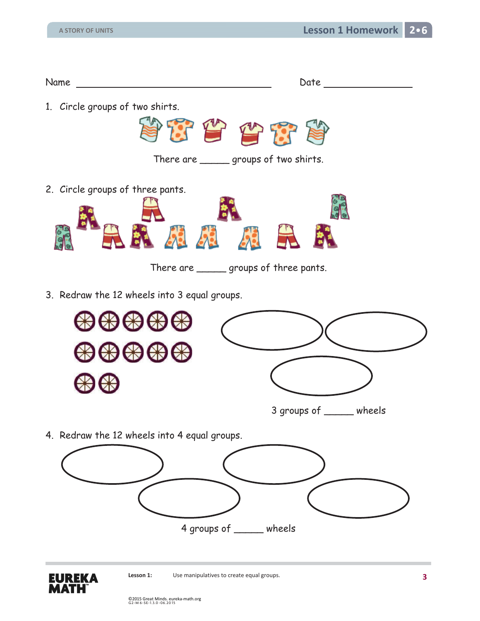| Name                             |                                                  | Date |
|----------------------------------|--------------------------------------------------|------|
| 1. Circle groups of two shirts.  | 安全合作省<br>There are _______ groups of two shirts. |      |
| 2. Circle groups of three pants. | There are _______ groups of three pants.         |      |

3. Redraw the 12 wheels into 3 equal groups.



4. Redraw the 12 wheels into 4 equal groups.



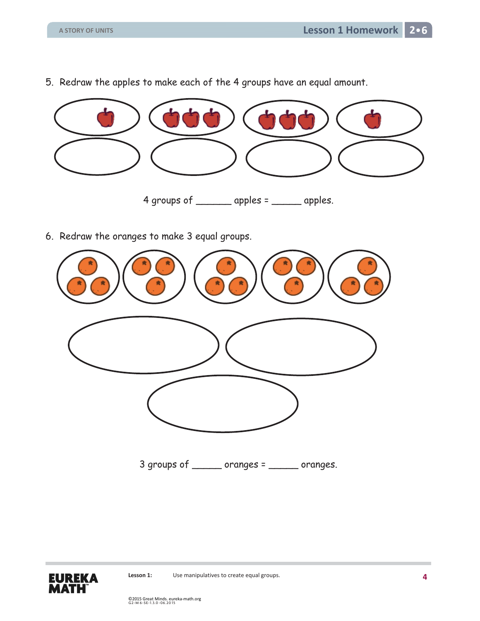5. Redraw the apples to make each of the 4 groups have an equal amount.



6. Redraw the oranges to make 3 equal groups.



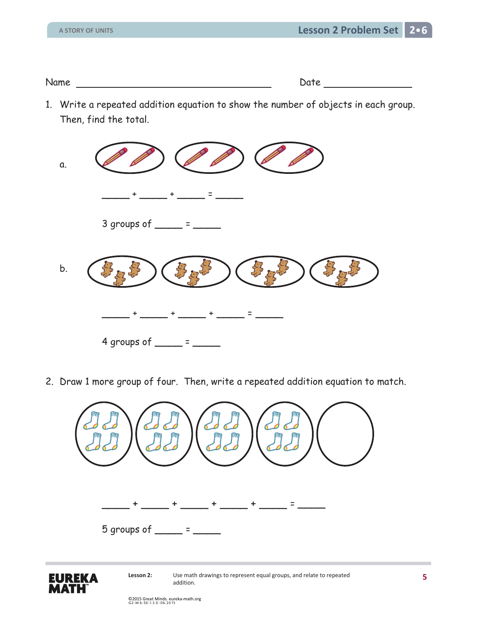Name Date

1. Write a repeated addition equation to show the number of objects in each group. Then, find the total.



2. Draw 1 more group of four. Then, write a repeated addition equation to match.



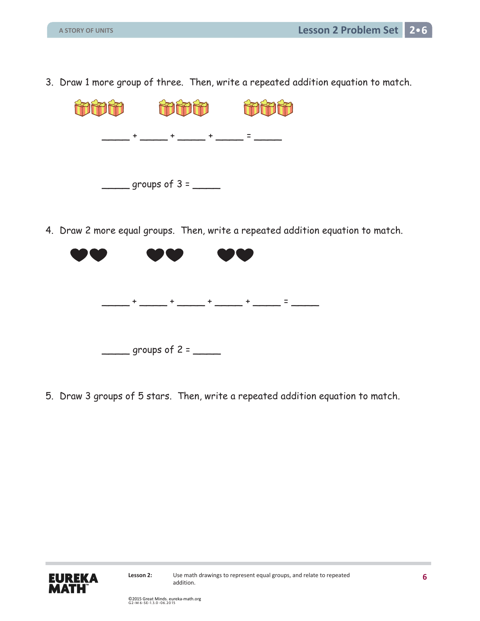3. Draw 1 more group of three. Then, write a repeated addition equation to match.



4. Draw 2 more equal groups. Then, write a repeated addition equation to match.



5. Draw 3 groups of 5 stars. Then, write a repeated addition equation to match.

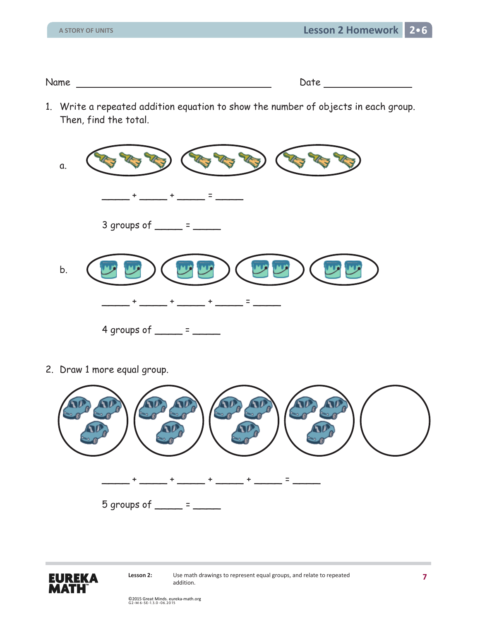Name Date

1. Write a repeated addition equation to show the number of objects in each group. Then, find the total.



2. Draw 1 more equal group.



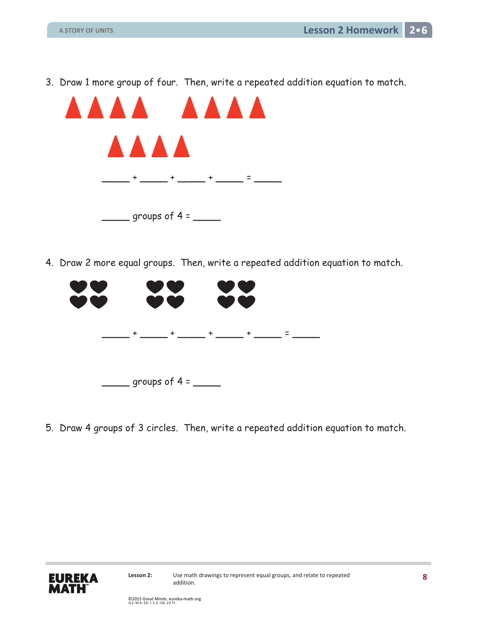3. Draw 1 more group of four. Then, write a repeated addition equation to match.



4. Draw 2 more equal groups. Then, write a repeated addition equation to match.



5. Draw 4 groups of 3 circles. Then, write a repeated addition equation to match.

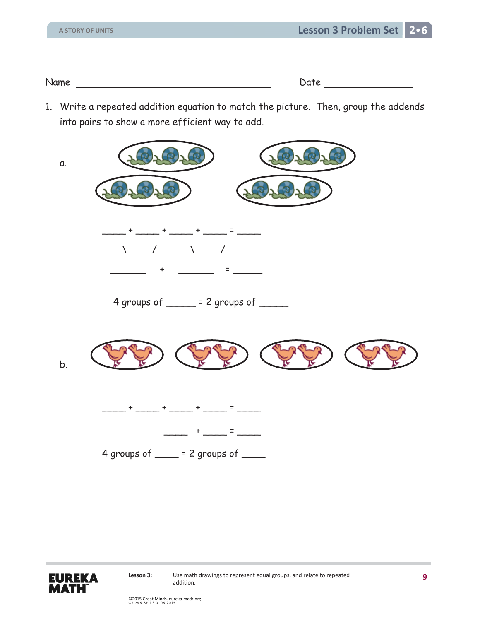Name Date Date Date

1. Write a repeated addition equation to match the picture. Then, group the addends into pairs to show a more efficient way to add.



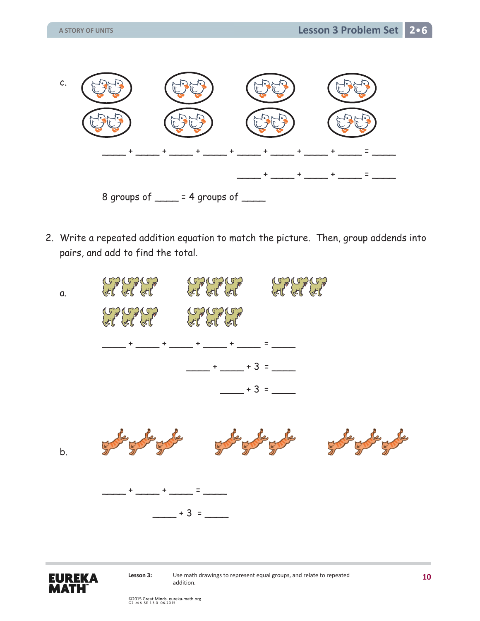

2. Write a repeated addition equation to match the picture. Then, group addends into pairs, and add to find the total.





**Lesson 3:** Use math drawings to represent equal groups, and relate to repeated addition.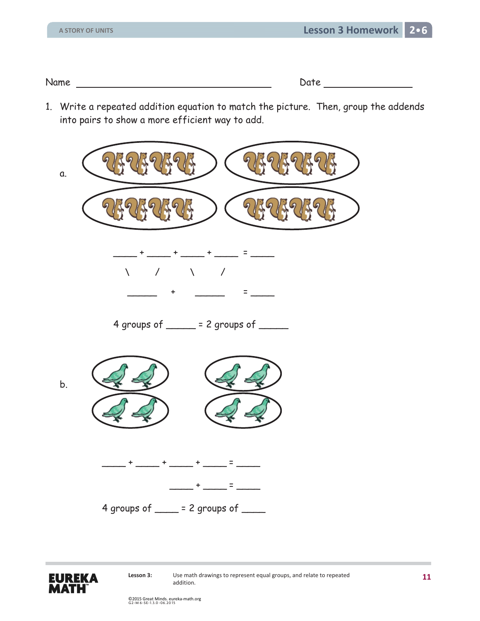Name Date Date Date

1. Write a repeated addition equation to match the picture. Then, group the addends into pairs to show a more efficient way to add.



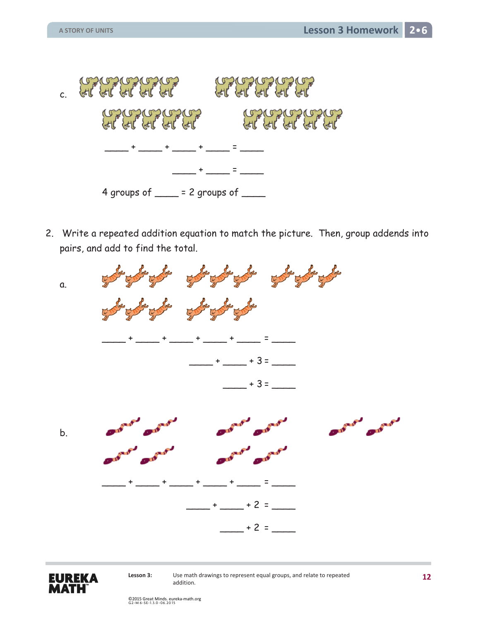

2. Write a repeated addition equation to match the picture. Then, group addends into pairs, and add to find the total.





**Lesson 3:** Use math drawings to represent equal groups, and relate to repeated addition.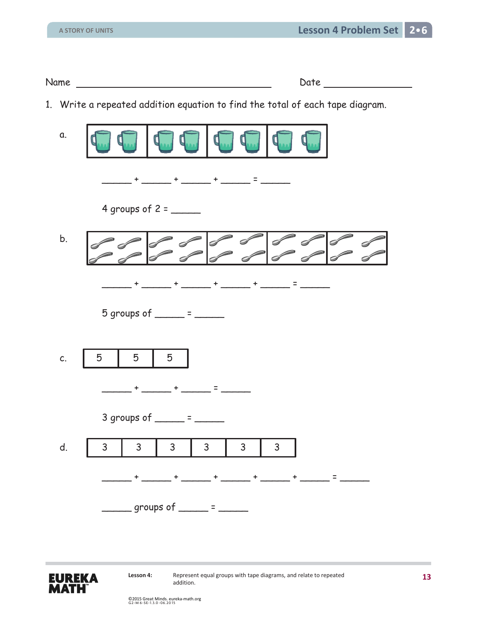Name Date

1. Write a repeated addition equation to find the total of each tape diagram.

| a. |                                                                                                                                                                                               |
|----|-----------------------------------------------------------------------------------------------------------------------------------------------------------------------------------------------|
|    |                                                                                                                                                                                               |
|    |                                                                                                                                                                                               |
| b. |                                                                                                                                                                                               |
|    | + _____ + _____ + _____ = ______<br>$+$ $ -$                                                                                                                                                  |
|    | 5 groups of $\frac{1}{2}$ = $\frac{1}{2}$                                                                                                                                                     |
| C. | 5<br>5<br>5                                                                                                                                                                                   |
|    | <u> 1999 - Henri Harristan (</u>                                                                                                                                                              |
|    | 3 groups of $\frac{1}{2}$ = $\frac{1}{2}$                                                                                                                                                     |
| d. | 3<br>3<br>$\mathsf{3}$<br>3<br>$\mathsf{3}$<br>3                                                                                                                                              |
|    |                                                                                                                                                                                               |
|    | $\frac{1}{\sqrt{1-\frac{1}{2}}\sqrt{1-\frac{1}{2}}\sqrt{1-\frac{1}{2}}\sqrt{1-\frac{1}{2}}}}$ = $\frac{1}{\sqrt{1-\frac{1}{2}}\sqrt{1-\frac{1}{2}}\sqrt{1-\frac{1}{2}}\sqrt{1-\frac{1}{2}}}}$ |

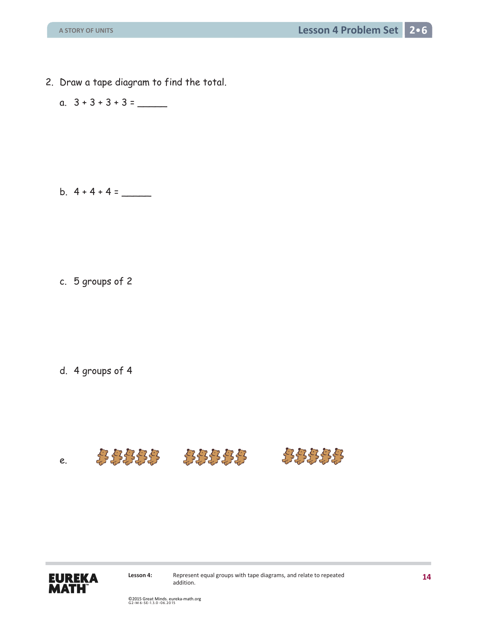- 2. Draw a tape diagram to find the total.
	- a. 3 + 3 + 3 + 3 = \_\_\_\_\_

b.  $4 + 4 + 4 =$ 

c. 5 groups of 2

d. 4 groups of 4





Lesson 4: Represent equal groups with tape diagrams, and relate to repeated addition.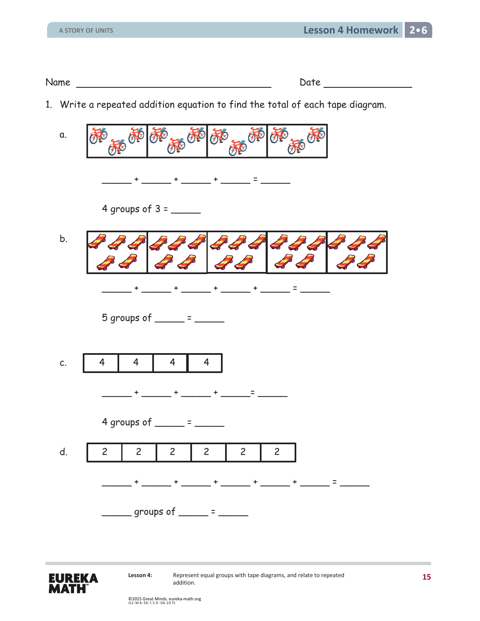| Name | )ate |
|------|------|

1. Write a repeated addition equation to find the total of each tape diagram.

| a. | 西施<br>西西部西西<br>极                                                                                                                                                                                                                                                                                                                                                                                                                                        |
|----|---------------------------------------------------------------------------------------------------------------------------------------------------------------------------------------------------------------------------------------------------------------------------------------------------------------------------------------------------------------------------------------------------------------------------------------------------------|
|    | $+$ ______ + ______ = _______                                                                                                                                                                                                                                                                                                                                                                                                                           |
|    |                                                                                                                                                                                                                                                                                                                                                                                                                                                         |
| b. | $\mathscr{L}$<br>$\mathscr{L}$<br>D                                                                                                                                                                                                                                                                                                                                                                                                                     |
|    |                                                                                                                                                                                                                                                                                                                                                                                                                                                         |
|    | 5 groups of $\frac{\ }{\ }$ = $\frac{\ }{\ }$                                                                                                                                                                                                                                                                                                                                                                                                           |
| C. | $\overline{\mathbf{4}}$<br>$\overline{4}$<br>$\overline{4}$<br>$\overline{4}$                                                                                                                                                                                                                                                                                                                                                                           |
|    |                                                                                                                                                                                                                                                                                                                                                                                                                                                         |
|    | $\frac{1}{2} \left( \frac{1}{2} \right) \left( \frac{1}{2} \right) + \frac{1}{2} \left( \frac{1}{2} \right) \left( \frac{1}{2} \right) + \frac{1}{2} \left( \frac{1}{2} \right) \left( \frac{1}{2} \right) + \frac{1}{2} \left( \frac{1}{2} \right) \left( \frac{1}{2} \right) + \frac{1}{2} \left( \frac{1}{2} \right) \left( \frac{1}{2} \right) + \frac{1}{2} \left( \frac{1}{2} \right) \left( \frac{1}{2} \right) + \frac{1}{2} \left( \frac{1}{2$ |
|    | 4 groups of $\frac{1}{2}$ = $\frac{1}{2}$                                                                                                                                                                                                                                                                                                                                                                                                               |
| d. | $\overline{c}$<br>$\overline{c}$<br>$\overline{c}$<br>$\overline{c}$<br>$\overline{2}$<br>$\overline{c}$                                                                                                                                                                                                                                                                                                                                                |
|    | $\mathbf{a}$ and $\mathbf{a}$ are the set of $\mathbf{a}$ and $\mathbf{a}$ are the set of $\mathbf{a}$                                                                                                                                                                                                                                                                                                                                                  |
|    | $\frac{1}{\sqrt{2\pi}}$ groups of $\frac{1}{\sqrt{2\pi}}$ = $\frac{1}{\sqrt{2\pi}}$                                                                                                                                                                                                                                                                                                                                                                     |

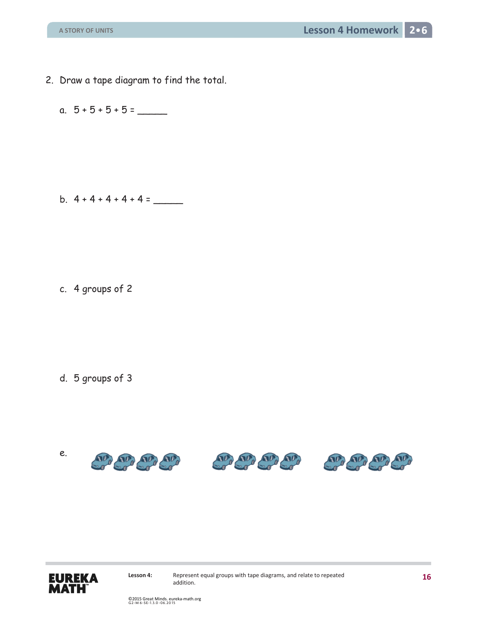- 2. Draw a tape diagram to find the total.
	- a. 5 + 5 + 5 + 5 = \_\_\_\_\_

b.  $4 + 4 + 4 + 4 + 4 =$ 

c. 4 groups of 2

d. 5 groups of 3



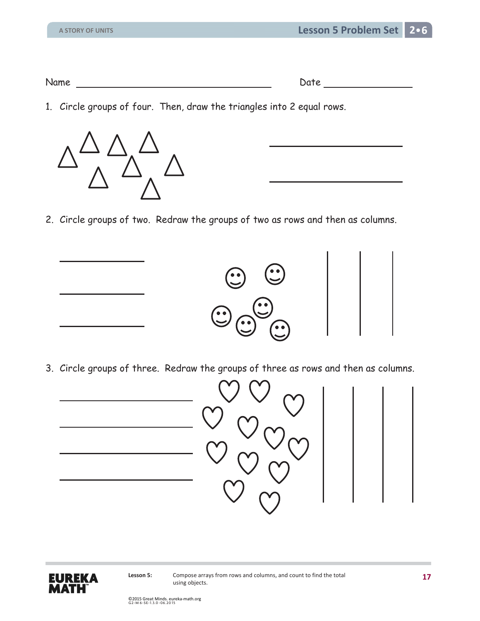| N 1<br>NG L |  |
|-------------|--|
|             |  |

1. Circle groups of four. Then, draw the triangles into 2 equal rows.



2. Circle groups of two. Redraw the groups of two as rows and then as columns.



3. Circle groups of three. Redraw the groups of three as rows and then as columns.



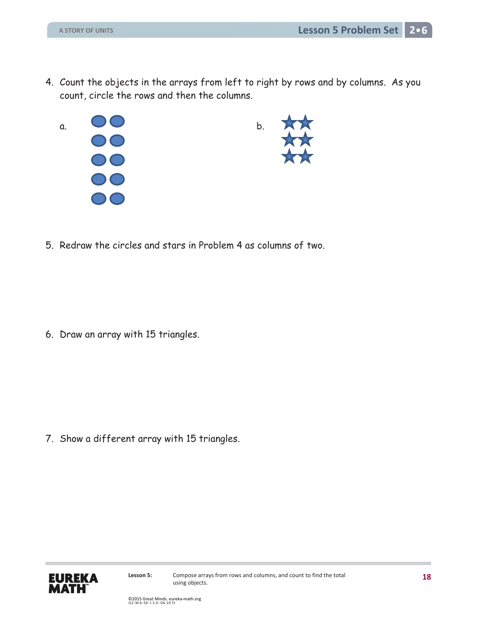- 4. Count the objects in the arrays from left to right by rows and by columns. As you count, circle the rows and then the columns.
	- a. 00<br>00<br>00<br>00  $\bigcirc$



5. Redraw the circles and stars in Problem 4 as columns of two.

6. Draw an array with 15 triangles.

7. Show a different array with 15 triangles.

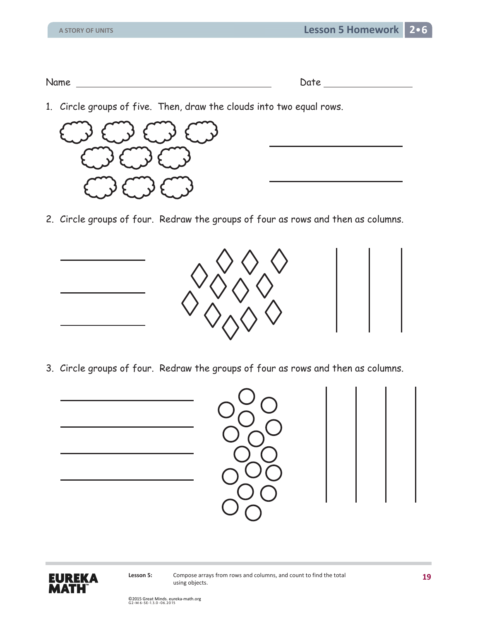1. Circle groups of five. Then, draw the clouds into two equal rows.



2. Circle groups of four. Redraw the groups of four as rows and then as columns.



3. Circle groups of four. Redraw the groups of four as rows and then as columns.



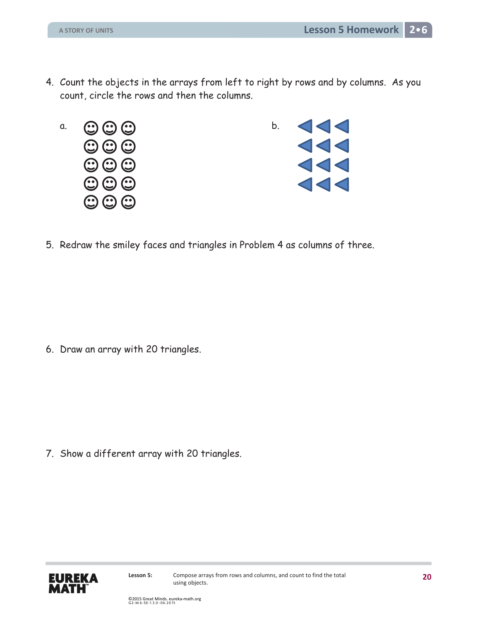4. Count the objects in the arrays from left to right by rows and by columns. As you count, circle the rows and then the columns.





5. Redraw the smiley faces and triangles in Problem 4 as columns of three.

6. Draw an array with 20 triangles.

7. Show a different array with 20 triangles.

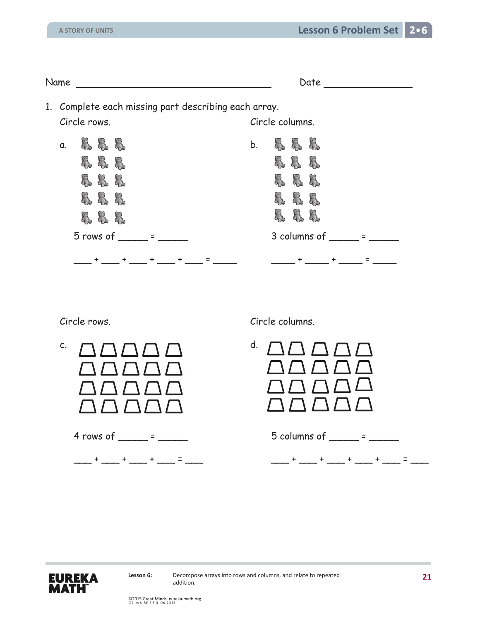| Name |              |                    |               |     |           |                                                      |    |                 |                        | Date        |           |                                              |  |
|------|--------------|--------------------|---------------|-----|-----------|------------------------------------------------------|----|-----------------|------------------------|-------------|-----------|----------------------------------------------|--|
|      |              |                    |               |     |           | 1. Complete each missing part describing each array. |    |                 |                        |             |           |                                              |  |
|      | Circle rows. |                    |               |     |           |                                                      |    | Circle columns. |                        |             |           |                                              |  |
| a.   |              | 83 S S             |               |     |           |                                                      | b. | $\delta$        | $\mathcal{E}_{\infty}$ | $\delta\!S$ |           |                                              |  |
|      | 8            | 8                  | R             |     |           |                                                      |    | 8               | 8                      | 8           |           |                                              |  |
|      | 8            | <b>&amp; &amp;</b> |               |     |           |                                                      |    | 8               | 8                      | 8           |           |                                              |  |
|      | 8            | 8                  | X.            |     |           |                                                      |    | 8               | 8                      | 8           |           |                                              |  |
|      | 8            | 3                  | 8             |     |           |                                                      |    | Ŗ               | 88                     |             |           |                                              |  |
|      |              |                    | $5 rows of =$ |     |           |                                                      |    |                 |                        |             |           | $3$ columns of $\_\_\_\_\_\_ = \_\_\_\_\_\_$ |  |
|      |              |                    | $\ddot{}$     | $+$ | $\ddot{}$ |                                                      |    |                 | $\ddot{}$              |             | $\ddot{}$ | $=$                                          |  |

- c.  $\bigcap \bigcap \bigcap \bigcap \bigcap$  d.
	- 4 rows of \_\_\_\_\_ = \_\_\_\_\_
	- \_\_\_ + \_\_\_ + \_\_\_ + \_\_\_ = \_\_\_

Circle rows. Circle columns.

|  | 5 columns of |  |  |  |  |
|--|--------------|--|--|--|--|
|--|--------------|--|--|--|--|

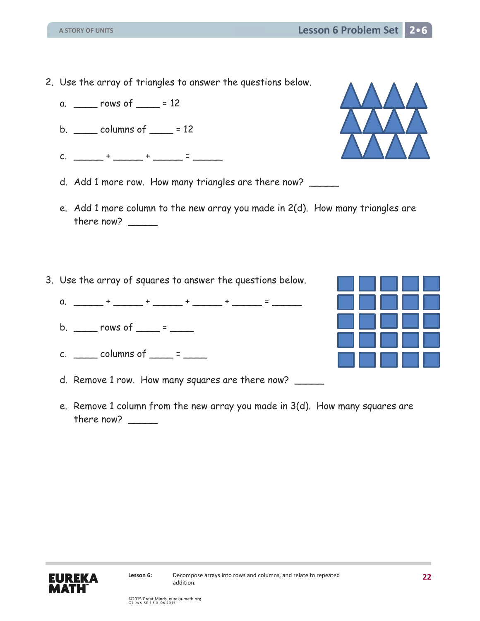**Lesson 6 Problem Set 2**

- 2. Use the array of triangles to answer the questions below.
	- a. \_\_\_\_ rows of \_\_\_\_ = 12
	- b.  $\frac{1}{2}$  columns of  $\frac{1}{2}$  = 12
	- c.  $\frac{1}{2}$  +  $\frac{1}{2}$  +  $\frac{1}{2}$  =  $\frac{1}{2}$
	- d. Add 1 more row. How many triangles are there now? \_\_\_\_\_
	- e. Add 1 more column to the new array you made in 2(d). How many triangles are there now?  $\_\_$
- 3. Use the array of squares to answer the questions below.
	- a.  $\frac{1}{2}$  +  $\frac{1}{2}$  +  $\frac{1}{2}$  +  $\frac{1}{2}$  +  $\frac{1}{2}$  +  $\frac{1}{2}$  =  $\frac{1}{2}$
	- b.  $\qquad \qquad \text{rows of} \qquad \qquad \text{=}$
	- c.  $\frac{\cdot}{\cdot}$  columns of  $\cdot$  =  $\cdot$  =  $\cdot$
	- d. Remove 1 row. How many squares are there now?
	- e. Remove 1 column from the new array you made in 3(d). How many squares are there now?  $\_\_$





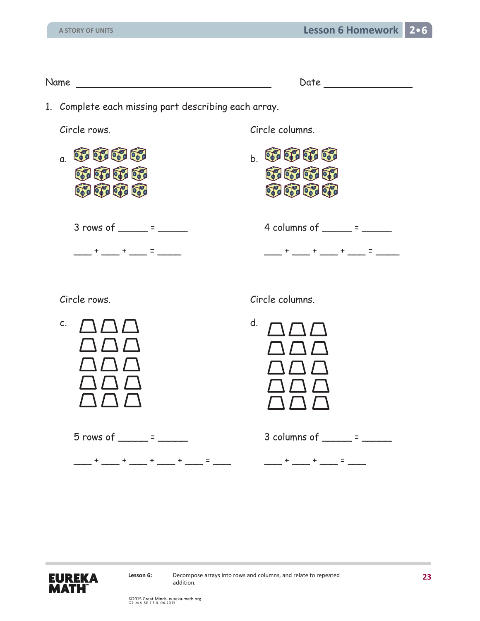| Name experience and the service of the service of the service of the service of the service of the service of the service of the service of the service of the service of the service of the service of the service of the ser | Date that the contract of the contract of the contract of the contract of the contract of the contract of the contract of the contract of the contract of the contract of the contract of the contract of the contract of the                                                                                                                                                                                                              |
|--------------------------------------------------------------------------------------------------------------------------------------------------------------------------------------------------------------------------------|--------------------------------------------------------------------------------------------------------------------------------------------------------------------------------------------------------------------------------------------------------------------------------------------------------------------------------------------------------------------------------------------------------------------------------------------|
| 1. Complete each missing part describing each array.                                                                                                                                                                           |                                                                                                                                                                                                                                                                                                                                                                                                                                            |
| Circle rows.                                                                                                                                                                                                                   | Circle columns.                                                                                                                                                                                                                                                                                                                                                                                                                            |
| of a con ord on<br>$\mathfrak{a}$ .<br>or or or or<br><b>CONTROL</b>                                                                                                                                                           | $\sim$ 070 070 070 070<br>of a book of a<br>or or or or                                                                                                                                                                                                                                                                                                                                                                                    |
| $3 rows of ______ = ______$<br>___ + ____ + ____ = ____                                                                                                                                                                        | 4 columns of $\frac{1}{\sqrt{2}}$ = $\frac{1}{\sqrt{2}}$<br>____+ ___+ ___+ ___ = ____                                                                                                                                                                                                                                                                                                                                                     |
| Circle rows.                                                                                                                                                                                                                   | Circle columns.                                                                                                                                                                                                                                                                                                                                                                                                                            |
| C.                                                                                                                                                                                                                             | d.                                                                                                                                                                                                                                                                                                                                                                                                                                         |
| $5$ rows of ______ = ______<br>___ + ___ + ___ + ___ + ___ + ___ = ___                                                                                                                                                         | 3 columns of $\frac{1}{2}$ = $\frac{1}{2}$<br>$\frac{1}{2} \frac{1}{2} \frac{1}{2} \frac{1}{2} \frac{1}{2} \frac{1}{2} \frac{1}{2} \frac{1}{2} \frac{1}{2} \frac{1}{2} \frac{1}{2} \frac{1}{2} \frac{1}{2} \frac{1}{2} \frac{1}{2} \frac{1}{2} \frac{1}{2} \frac{1}{2} \frac{1}{2} \frac{1}{2} \frac{1}{2} \frac{1}{2} \frac{1}{2} \frac{1}{2} \frac{1}{2} \frac{1}{2} \frac{1}{2} \frac{1}{2} \frac{1}{2} \frac{1}{2} \frac{1}{2} \frac{$ |
|                                                                                                                                                                                                                                |                                                                                                                                                                                                                                                                                                                                                                                                                                            |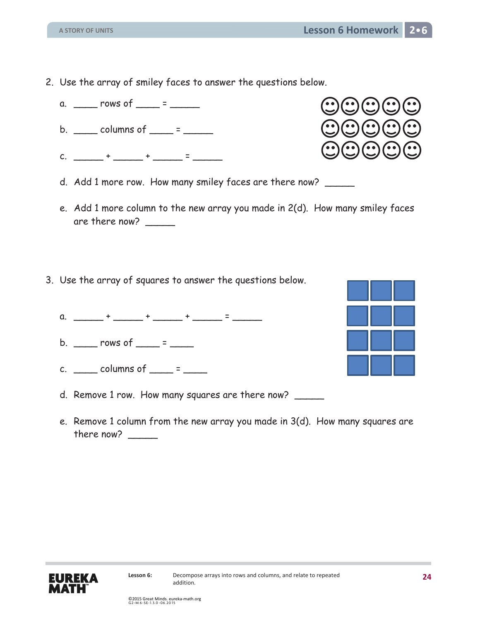addition.

2. Use the array of smiley faces to answer the questions below.



- d. Add 1 more row. How many smiley faces are there now?
- e. Add 1 more column to the new array you made in 2(d). How many smiley faces are there now?  $\_\_$
- 3. Use the array of squares to answer the questions below.
	- a.  $\frac{1}{2}$  +  $\frac{1}{2}$  +  $\frac{1}{2}$  +  $\frac{1}{2}$  =  $\frac{1}{2}$
	- b.  $\frac{1}{2}$  rows of  $\frac{1}{2}$  =  $\frac{1}{2}$
	- c.  $\frac{\ }{\ }$  columns of  $\frac{\ }{\ }$  =  $\frac{\ }{\ }$
	- d. Remove 1 row. How many squares are there now?
	- e. Remove 1 column from the new array you made in 3(d). How many squares are there now?  $\_\_$

Lesson 6: Decompose arrays into rows and columns, and relate to repeated



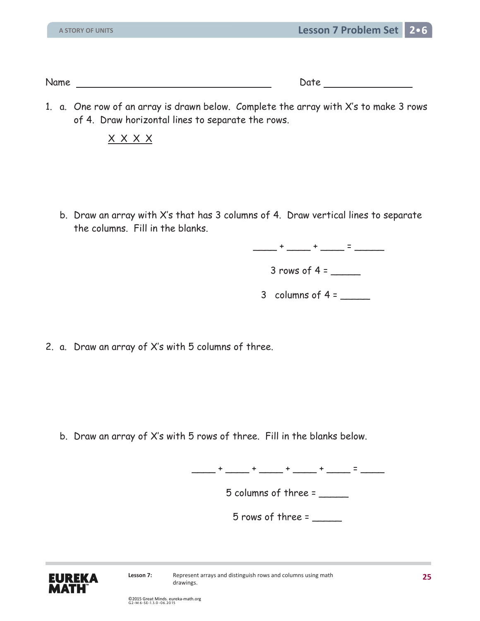Name Date Date Date

1. a. One row of an array is drawn below. Complete the array with X's to make 3 rows of 4. Draw horizontal lines to separate the rows.

X X X X

b. Draw an array with X's that has 3 columns of 4. Draw vertical lines to separate the columns. Fill in the blanks.

 $\frac{1}{2}$  +  $\frac{1}{2}$  +  $\frac{1}{2}$  +  $\frac{1}{2}$  +  $\frac{1}{2}$  =  $\frac{1}{2}$ 

 $3$  rows of  $4 =$ 

3 columns of  $4 =$ 

2. a. Draw an array of X's with 5 columns of three.

b. Draw an array of X's with 5 rows of three. Fill in the blanks below.

\_\_\_\_ + \_\_\_\_ + \_\_\_\_ + \_\_\_\_ + \_\_\_\_ = \_\_\_\_

5 columns of three = \_\_\_\_\_

 $5$  rows of three =

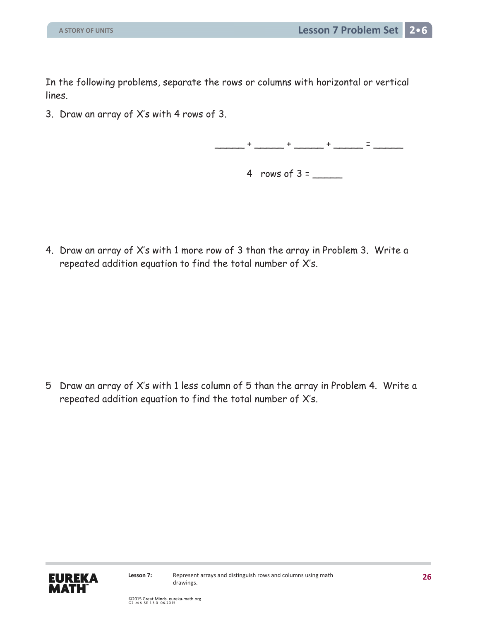In the following problems, separate the rows or columns with horizontal or vertical lines.

3. Draw an array of X's with 4 rows of 3.

 $+$  \_\_\_\_\_ + \_\_\_\_\_ + \_\_\_\_\_ = \_\_\_\_\_\_

4 rows of 3 = \_\_\_\_\_

4. Draw an array of X's with 1 more row of 3 than the array in Problem 3. Write a repeated addition equation to find the total number of X's.

5 Draw an array of X·s with 1 less column of 5 than the array in Problem 4. Write a repeated addition equation to find the total number of X's.

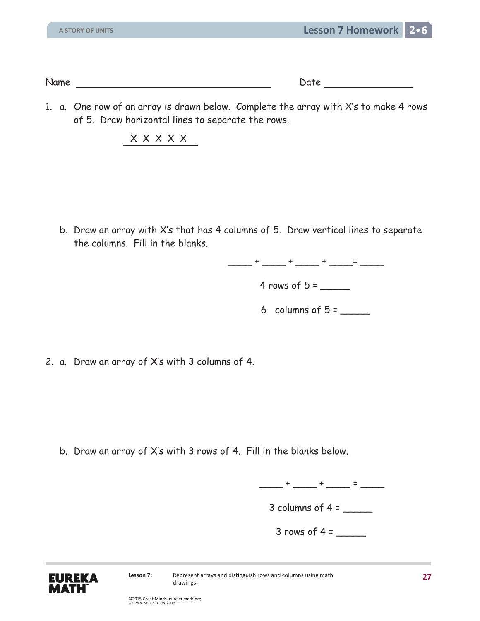Name Date Date Date

1. a. One row of an array is drawn below. Complete the array with X's to make 4 rows of 5. Draw horizontal lines to separate the rows.

X X X X X

b. Draw an array with X's that has 4 columns of 5. Draw vertical lines to separate the columns. Fill in the blanks.

\_\_\_\_\_ + \_\_\_\_ + \_\_\_\_ + \_\_\_\_\_ = \_\_\_\_\_

4 rows of 5 = \_\_\_\_\_

6 columns of  $5 =$ 

2. a. Draw an array of X's with 3 columns of 4.

b. Draw an array of X's with 3 rows of 4. Fill in the blanks below.

 $\frac{1}{2}$  +  $\frac{1}{2}$  +  $\frac{1}{2}$  +  $\frac{1}{2}$  =  $\frac{1}{2}$ 

3 columns of  $4 =$ 

 $3$  rows of 4 =  $\frac{2}{1}$ 

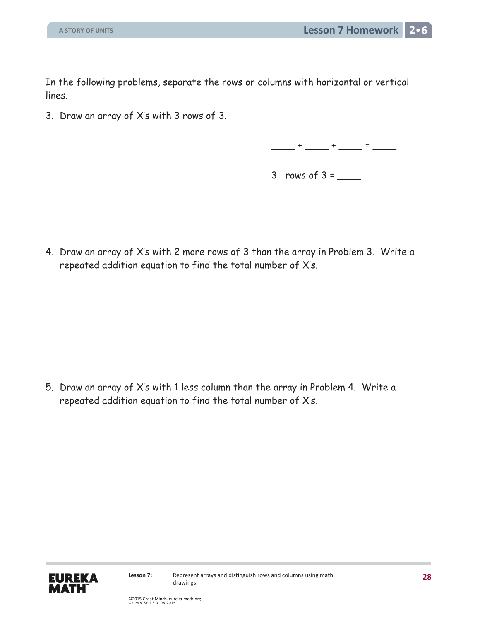In the following problems, separate the rows or columns with horizontal or vertical lines.

3. Draw an array of X's with 3 rows of 3.



 $3$  rows of  $3 =$ 

4. Draw an array of X's with 2 more rows of 3 than the array in Problem 3. Write a repeated addition equation to find the total number of X's.

5. Draw an array of X·s with 1 less column than the array in Problem 4. Write a repeated addition equation to find the total number of X's.

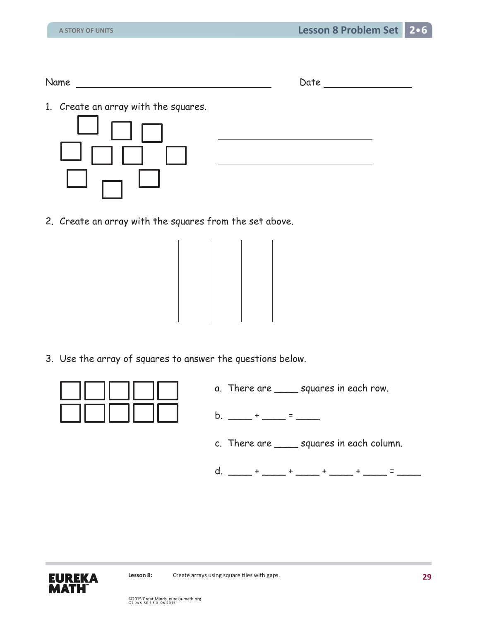1. Create an array with the squares.



2. Create an array with the squares from the set above.



3. Use the array of squares to answer the questions below.



- a. There are squares in each row.
- b. \_\_\_\_ + \_\_\_\_ = \_\_\_\_
- c. There are \_\_\_\_ squares in each column.
- d. \_\_\_\_ + \_\_\_\_ + \_\_\_\_ + \_\_\_\_ + \_\_\_\_ + \_\_\_\_ = \_\_\_\_\_

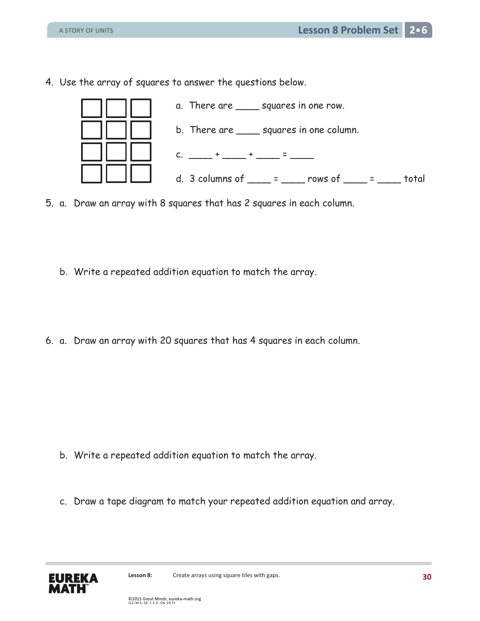4. Use the array of squares to answer the questions below.



- 5. a. Draw an array with 8 squares that has 2 squares in each column.
	- b. Write a repeated addition equation to match the array.
- 6. a. Draw an array with 20 squares that has 4 squares in each column.

- b. Write a repeated addition equation to match the array.
- c. Draw a tape diagram to match your repeated addition equation and array.

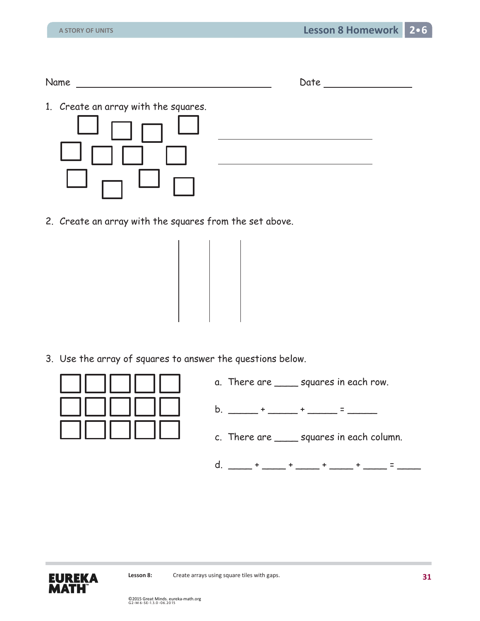| Name<br>$-$ | .<br>- |
|-------------|--------|
|             |        |

1. Create an array with the squares.



2. Create an array with the squares from the set above.

3. Use the array of squares to answer the questions below.



- a. There are \_\_\_\_ squares in each row.
- b. \_\_\_\_\_\_ + \_\_\_\_\_\_ + \_\_\_\_\_\_ = \_\_\_\_\_\_
- c. There are \_\_\_\_ squares in each column.
- d. \_\_\_\_ + \_\_\_\_ + \_\_\_\_ + \_\_\_\_ + \_\_\_\_ + \_\_\_\_ = \_\_\_\_\_

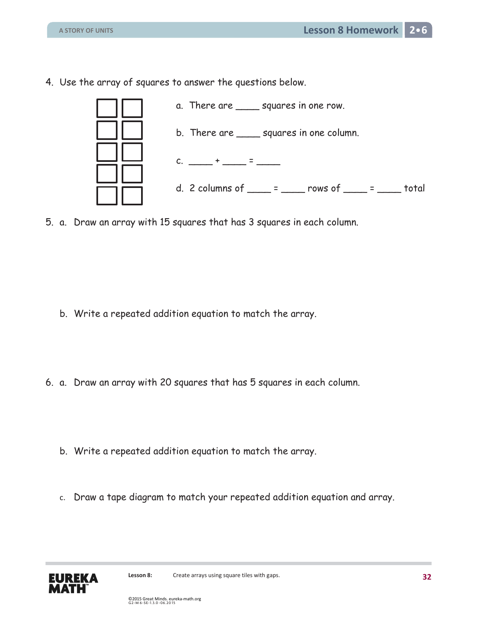4. Use the array of squares to answer the questions below.



5. a. Draw an array with 15 squares that has 3 squares in each column.

- b. Write a repeated addition equation to match the array.
- 6. a. Draw an array with 20 squares that has 5 squares in each column.
	- b. Write a repeated addition equation to match the array.
	- c. Draw a tape diagram to match your repeated addition equation and array.

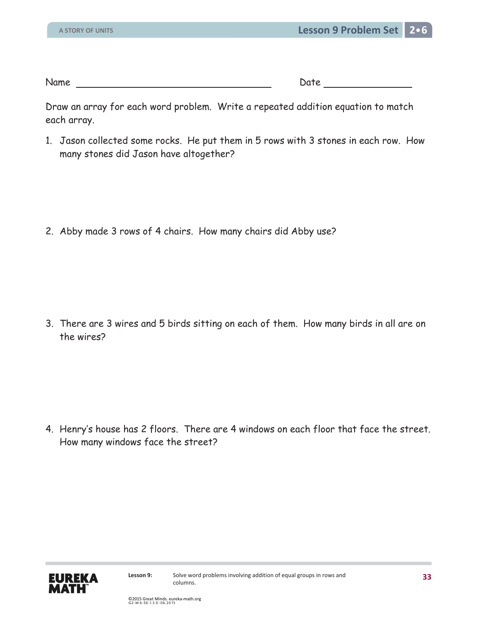Name Date

Draw an array for each word problem. Write a repeated addition equation to match each array.

1. Jason collected some rocks. He put them in 5 rows with 3 stones in each row. How many stones did Jason have altogether?

2. Abby made 3 rows of 4 chairs. How many chairs did Abby use?

3. There are 3 wires and 5 birds sitting on each of them. How many birds in all are on the wires?

4. Henry's house has 2 floors. There are 4 windows on each floor that face the street. How many windows face the street?

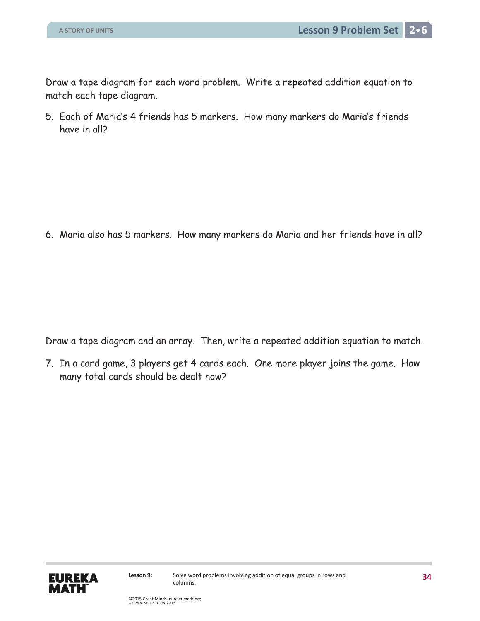Draw a tape diagram for each word problem. Write a repeated addition equation to match each tape diagram.

5. Each of Maria's 4 friends has 5 markers. How many markers do Maria's friends have in all?

6. Maria also has 5 markers. How many markers do Maria and her friends have in all?

Draw a tape diagram and an array. Then, write a repeated addition equation to match.

7. In a card game, 3 players get 4 cards each. One more player joins the game. How many total cards should be dealt now?

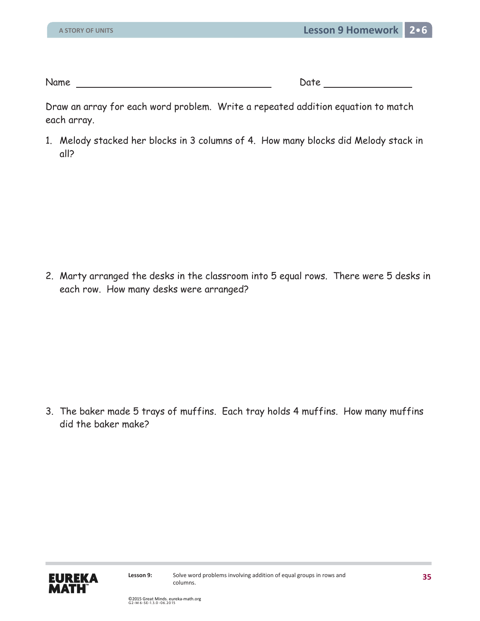Name Date

Draw an array for each word problem. Write a repeated addition equation to match each array.

1. Melody stacked her blocks in 3 columns of 4. How many blocks did Melody stack in all?

2. Marty arranged the desks in the classroom into 5 equal rows. There were 5 desks in each row. How many desks were arranged?

3. The baker made 5 trays of muffins. Each tray holds 4 muffins. How many muffins did the baker make?

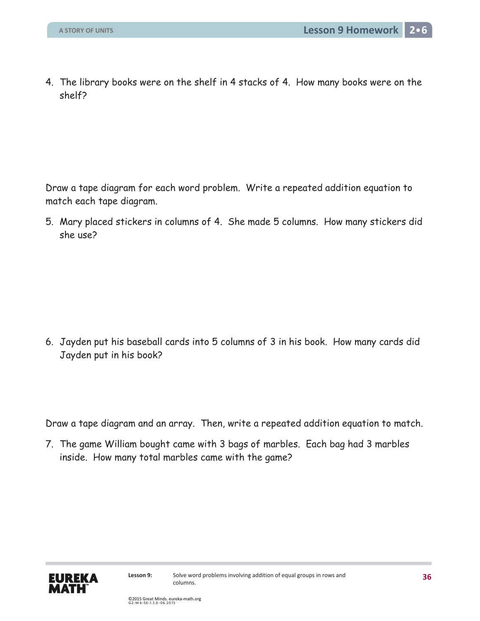4. The library books were on the shelf in 4 stacks of 4. How many books were on the shelf?

Draw a tape diagram for each word problem. Write a repeated addition equation to match each tape diagram.

5. Mary placed stickers in columns of 4. She made 5 columns. How many stickers did she use?

6. Jayden put his baseball cards into 5 columns of 3 in his book. How many cards did Jayden put in his book?

Draw a tape diagram and an array. Then, write a repeated addition equation to match.

7. The game William bought came with 3 bags of marbles. Each bag had 3 marbles inside. How many total marbles came with the game?

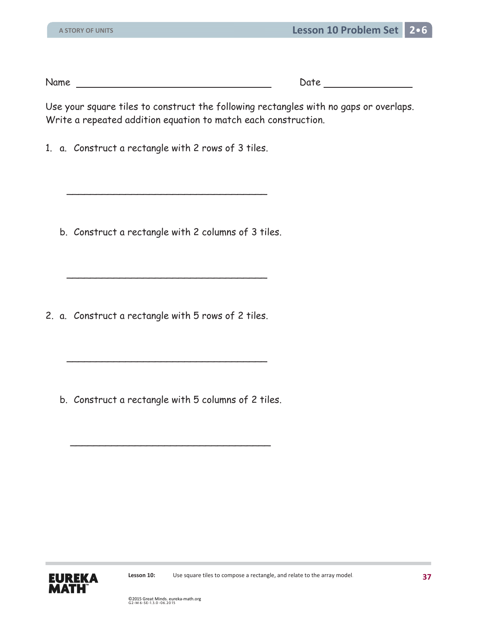Name Date Date Date Date

Use your square tiles to construct the following rectangles with no gaps or overlaps. Write a repeated addition equation to match each construction.

1. a. Construct a rectangle with 2 rows of 3 tiles.

 $\overline{\phantom{a}}$  , which is a set of the set of the set of the set of the set of the set of the set of the set of the set of the set of the set of the set of the set of the set of the set of the set of the set of the set of th

b. Construct a rectangle with 2 columns of 3 tiles.

2. a. Construct a rectangle with 5 rows of 2 tiles.

 $\overline{\phantom{a}}$  , which is a set of the set of the set of the set of the set of the set of the set of the set of the set of the set of the set of the set of the set of the set of the set of the set of the set of the set of th

 $\overline{\phantom{a}}$  , which is a set of the set of the set of the set of the set of the set of the set of the set of the set of the set of the set of the set of the set of the set of the set of the set of the set of the set of th

 $\overline{\phantom{a}}$  , which is a set of the set of the set of the set of the set of the set of the set of the set of the set of the set of the set of the set of the set of the set of the set of the set of the set of the set of th

b. Construct a rectangle with 5 columns of 2 tiles.

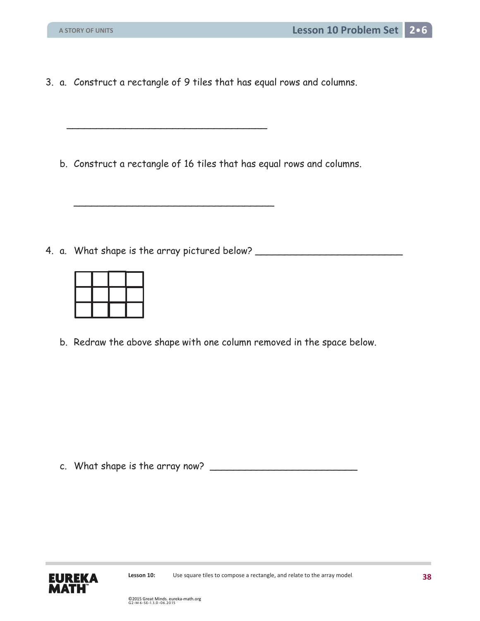3. a. Construct a rectangle of 9 tiles that has equal rows and columns.

 $\overline{\phantom{a}}$  , which is a set of the set of the set of the set of the set of the set of the set of the set of the set of the set of the set of the set of the set of the set of the set of the set of the set of the set of th

 $\overline{\phantom{a}}$  ,  $\overline{\phantom{a}}$  ,  $\overline{\phantom{a}}$  ,  $\overline{\phantom{a}}$  ,  $\overline{\phantom{a}}$  ,  $\overline{\phantom{a}}$  ,  $\overline{\phantom{a}}$  ,  $\overline{\phantom{a}}$  ,  $\overline{\phantom{a}}$  ,  $\overline{\phantom{a}}$  ,  $\overline{\phantom{a}}$  ,  $\overline{\phantom{a}}$  ,  $\overline{\phantom{a}}$  ,  $\overline{\phantom{a}}$  ,  $\overline{\phantom{a}}$  ,  $\overline{\phantom{a}}$ 

b. Construct a rectangle of 16 tiles that has equal rows and columns.

4. a. What shape is the array pictured below? \_\_\_\_\_\_\_\_\_\_\_\_\_\_\_\_\_\_\_\_\_\_\_\_\_\_\_\_\_\_\_\_\_\_

b. Redraw the above shape with one column removed in the space below.

c. What shape is the array now? \_\_\_\_\_\_\_\_\_\_\_\_\_\_\_\_\_\_\_\_\_\_\_\_\_

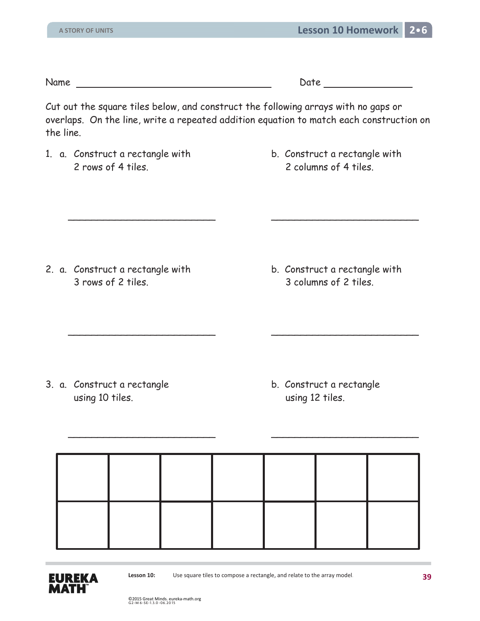Name Date Date

Cut out the square tiles below, and construct the following arrays with no gaps or overlaps. On the line, write a repeated addition equation to match each construction on the line.

 $\overline{\phantom{a}}$  ,  $\overline{\phantom{a}}$  ,  $\overline{\phantom{a}}$  ,  $\overline{\phantom{a}}$  ,  $\overline{\phantom{a}}$  ,  $\overline{\phantom{a}}$  ,  $\overline{\phantom{a}}$  ,  $\overline{\phantom{a}}$  ,  $\overline{\phantom{a}}$  ,  $\overline{\phantom{a}}$  ,  $\overline{\phantom{a}}$  ,  $\overline{\phantom{a}}$  ,  $\overline{\phantom{a}}$  ,  $\overline{\phantom{a}}$  ,  $\overline{\phantom{a}}$  ,  $\overline{\phantom{a}}$ 

 $\overline{\phantom{a}}$  ,  $\overline{\phantom{a}}$  ,  $\overline{\phantom{a}}$  ,  $\overline{\phantom{a}}$  ,  $\overline{\phantom{a}}$  ,  $\overline{\phantom{a}}$  ,  $\overline{\phantom{a}}$  ,  $\overline{\phantom{a}}$  ,  $\overline{\phantom{a}}$  ,  $\overline{\phantom{a}}$  ,  $\overline{\phantom{a}}$  ,  $\overline{\phantom{a}}$  ,  $\overline{\phantom{a}}$  ,  $\overline{\phantom{a}}$  ,  $\overline{\phantom{a}}$  ,  $\overline{\phantom{a}}$ 

- 1. a. Construct a rectangle with b. Construct a rectangle with 2 rows of 4 tiles. 2 columns of 4 tiles.
	-

- 2. a. Construct a rectangle with b. Construct a rectangle with 3 rows of 2 tiles. 3 columns of 2 tiles.
	-

- 3. a. Construct a rectangle b. Construct a rectangle using 10 tiles. The same states of the using 12 tiles.
- 

 $\overline{\phantom{a}}$  ,  $\overline{\phantom{a}}$  ,  $\overline{\phantom{a}}$  ,  $\overline{\phantom{a}}$  ,  $\overline{\phantom{a}}$  ,  $\overline{\phantom{a}}$  ,  $\overline{\phantom{a}}$  ,  $\overline{\phantom{a}}$  ,  $\overline{\phantom{a}}$  ,  $\overline{\phantom{a}}$  ,  $\overline{\phantom{a}}$  ,  $\overline{\phantom{a}}$  ,  $\overline{\phantom{a}}$  ,  $\overline{\phantom{a}}$  ,  $\overline{\phantom{a}}$  ,  $\overline{\phantom{a}}$ 



**Lesson 10:** Use square tiles to compose a rectangle, and relate to the array model.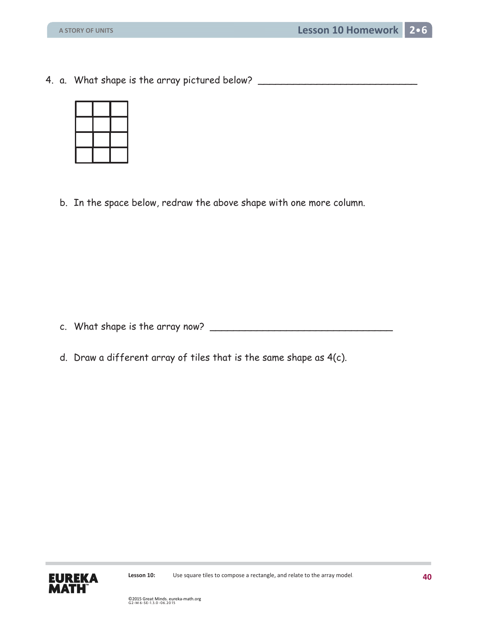4. a. What shape is the array pictured below? \_\_\_\_\_\_\_\_\_\_\_\_\_\_\_\_\_\_\_\_\_\_\_\_\_\_\_\_\_\_\_\_\_\_



b. In the space below, redraw the above shape with one more column.

c. What shape is the array now? \_\_\_\_\_\_\_\_\_\_\_\_\_\_\_\_\_\_\_\_\_\_\_\_\_\_\_\_\_\_\_

d. Draw a different array of tiles that is the same shape as 4(c).

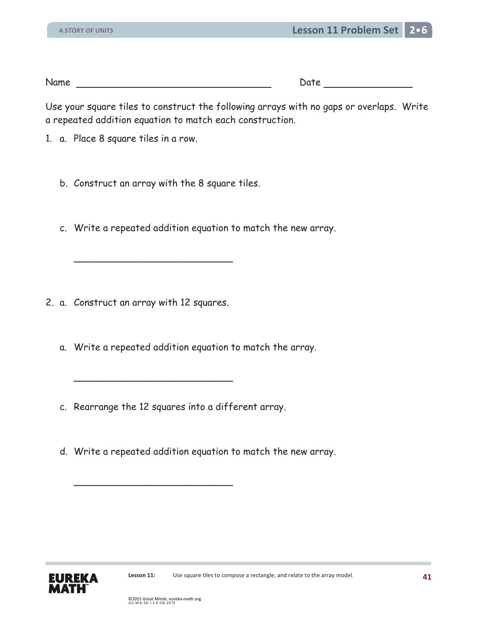Use your square tiles to construct the following arrays with no gaps or overlaps. Write a repeated addition equation to match each construction.

- 1. a. Place 8 square tiles in a row.
	- b. Construct an array with the 8 square tiles.

 $\overline{\phantom{a}}$  , and the set of the set of the set of the set of the set of the set of the set of the set of the set of the set of the set of the set of the set of the set of the set of the set of the set of the set of the s

 $\overline{\phantom{a}}$  , and the set of the set of the set of the set of the set of the set of the set of the set of the set of the set of the set of the set of the set of the set of the set of the set of the set of the set of the s

 $\overline{\phantom{a}}$  , and the set of the set of the set of the set of the set of the set of the set of the set of the set of the set of the set of the set of the set of the set of the set of the set of the set of the set of the s

c. Write a repeated addition equation to match the new array.

- 2. a. Construct an array with 12 squares.
	- a. Write a repeated addition equation to match the array.
	- c. Rearrange the 12 squares into a different array.
	- d. Write a repeated addition equation to match the new array.

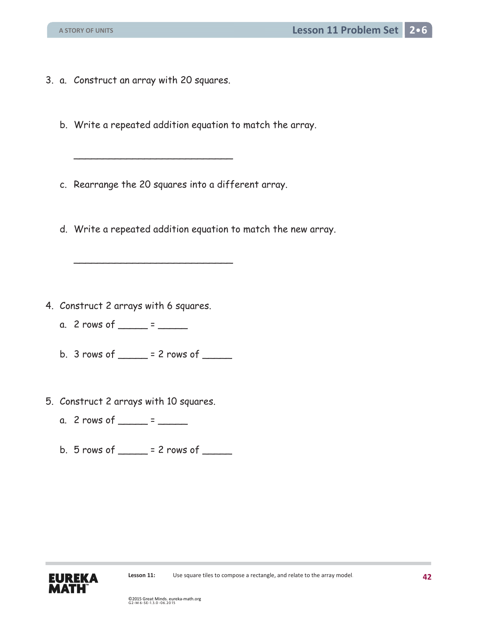- 3. a. Construct an array with 20 squares.
	- b. Write a repeated addition equation to match the array.
	- c. Rearrange the 20 squares into a different array.

 $\overline{\phantom{a}}$  , and the set of the set of the set of the set of the set of the set of the set of the set of the set of the set of the set of the set of the set of the set of the set of the set of the set of the set of the s

 $\overline{\phantom{a}}$  , and the set of the set of the set of the set of the set of the set of the set of the set of the set of the set of the set of the set of the set of the set of the set of the set of the set of the set of the s

d. Write a repeated addition equation to match the new array.

- 4. Construct 2 arrays with 6 squares.
	- a. 2 rows of  $\frac{\ }{2}$  =  $\frac{\ }{2}$
	- b.  $3 \text{ rows of }$  = 2 rows of  $\frac{1}{2}$
- 5. Construct 2 arrays with 10 squares.
	- a. 2 rows of  $\frac{1}{2}$  =  $\frac{1}{2}$
	- b.  $5$  rows of  $= 2$  rows of  $\qquad$

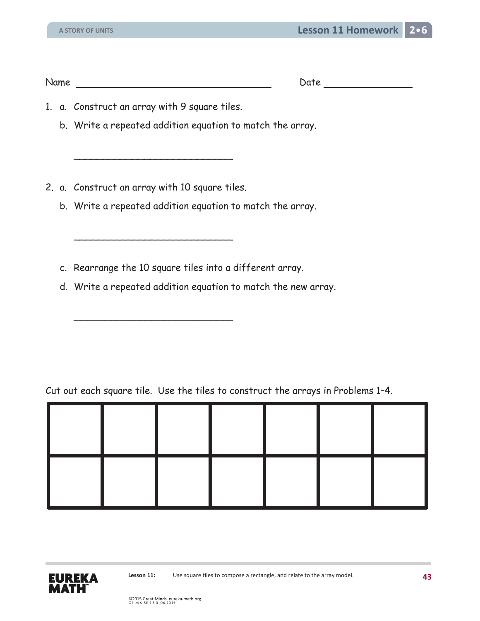- 1. a. Construct an array with 9 square tiles.
	- b. Write a repeated addition equation to match the array.
- 2. a. Construct an array with 10 square tiles.

 $\overline{\phantom{a}}$  ,  $\overline{\phantom{a}}$  ,  $\overline{\phantom{a}}$  ,  $\overline{\phantom{a}}$  ,  $\overline{\phantom{a}}$  ,  $\overline{\phantom{a}}$  ,  $\overline{\phantom{a}}$  ,  $\overline{\phantom{a}}$  ,  $\overline{\phantom{a}}$  ,  $\overline{\phantom{a}}$  ,  $\overline{\phantom{a}}$  ,  $\overline{\phantom{a}}$  ,  $\overline{\phantom{a}}$  ,  $\overline{\phantom{a}}$  ,  $\overline{\phantom{a}}$  ,  $\overline{\phantom{a}}$ 

 $\overline{\phantom{a}}$  , and the contract of the contract of the contract of the contract of the contract of the contract of the contract of the contract of the contract of the contract of the contract of the contract of the contrac

 $\overline{\phantom{a}}$  ,  $\overline{\phantom{a}}$  ,  $\overline{\phantom{a}}$  ,  $\overline{\phantom{a}}$  ,  $\overline{\phantom{a}}$  ,  $\overline{\phantom{a}}$  ,  $\overline{\phantom{a}}$  ,  $\overline{\phantom{a}}$  ,  $\overline{\phantom{a}}$  ,  $\overline{\phantom{a}}$  ,  $\overline{\phantom{a}}$  ,  $\overline{\phantom{a}}$  ,  $\overline{\phantom{a}}$  ,  $\overline{\phantom{a}}$  ,  $\overline{\phantom{a}}$  ,  $\overline{\phantom{a}}$ 

- b. Write a repeated addition equation to match the array.
- c. Rearrange the 10 square tiles into a different array.
- d. Write a repeated addition equation to match the new array.

Cut out each square tile. Use the tiles to construct the arrays in Problems 1–4.



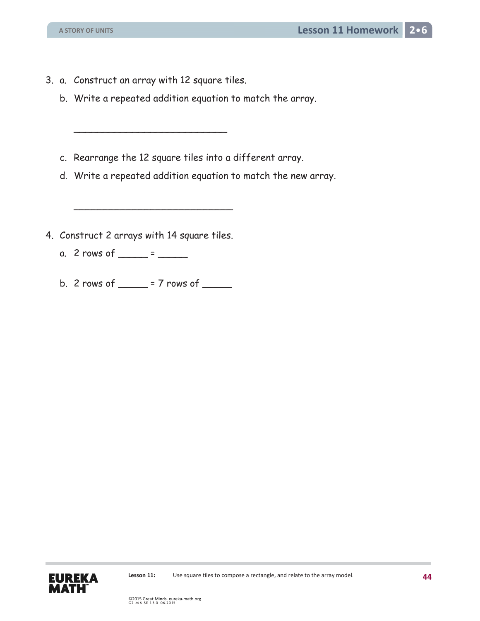3. a. Construct an array with 12 square tiles.

 $\overline{\phantom{a}}$ 

- b. Write a repeated addition equation to match the array.
- c. Rearrange the 12 square tiles into a different array.
- d. Write a repeated addition equation to match the new array.
- 4. Construct 2 arrays with 14 square tiles.

 $\overline{\phantom{a}}$  , and the set of the set of the set of the set of the set of the set of the set of the set of the set of the set of the set of the set of the set of the set of the set of the set of the set of the set of the s

- a. 2 rows of  $\frac{\ }{2}$  =  $\frac{\ }{2}$
- b. 2 rows of  $\frac{1}{2}$  = 7 rows of  $\frac{1}{2}$

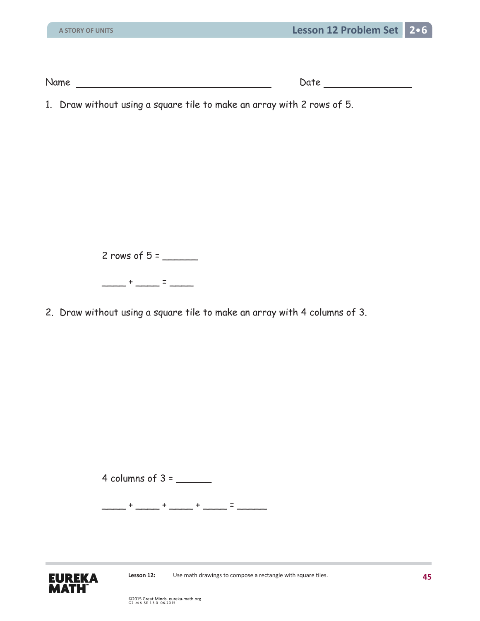| Name | -<br>ato (<br>∼ |
|------|-----------------|
|      |                 |

1. Draw without using a square tile to make an array with 2 rows of 5.

2 rows of  $5 =$ 

 $-$  +  $-$  =  $-$ 

2. Draw without using a square tile to make an array with 4 columns of 3.

4 columns of 3 = \_\_\_\_\_\_

 $-$  +  $-$  +  $-$  +  $-$  +  $-$  +  $-$  =  $-$ 

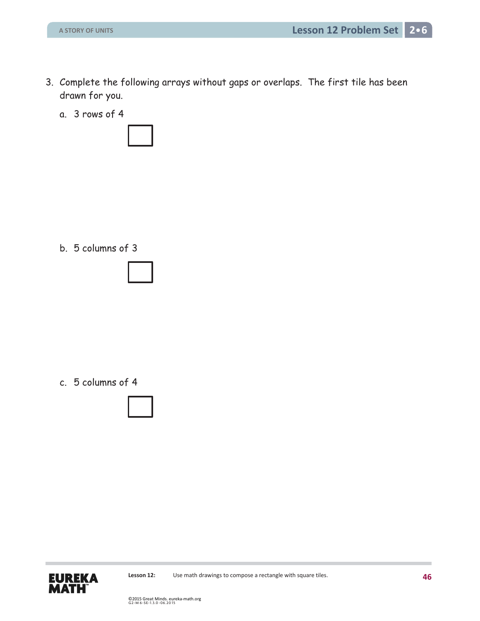- 3. Complete the following arrays without gaps or overlaps. The first tile has been drawn for you.
	- a. 3 rows of 4



b. 5 columns of 3



c. 5 columns of 4



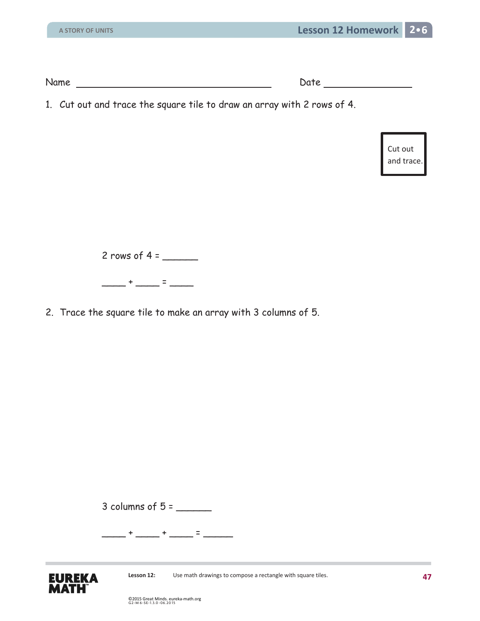1. Cut out and trace the square tile to draw an array with 2 rows of 4.

Cut out and trace.

2 rows of  $4 =$ 

\_\_\_\_ + \_\_\_\_ = \_\_\_\_

2. Trace the square tile to make an array with 3 columns of 5.

3 columns of 5 = \_\_\_\_\_\_

\_\_\_\_ + \_\_\_\_ + \_\_\_\_ = \_\_\_\_\_

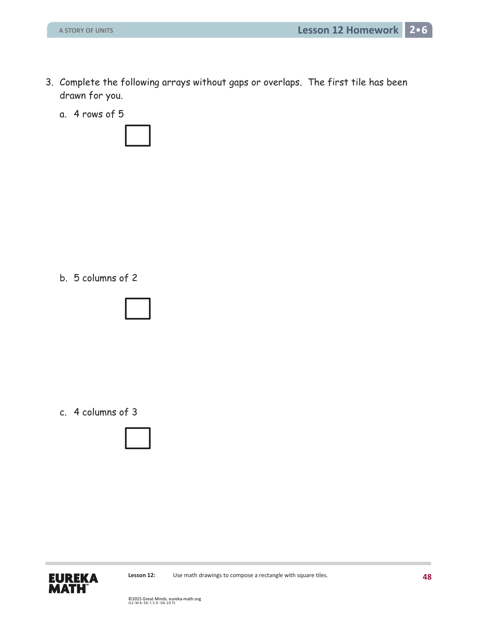- 3. Complete the following arrays without gaps or overlaps. The first tile has been drawn for you.
	- a. 4 rows of 5



b. 5 columns of 2



c. 4 columns of 3

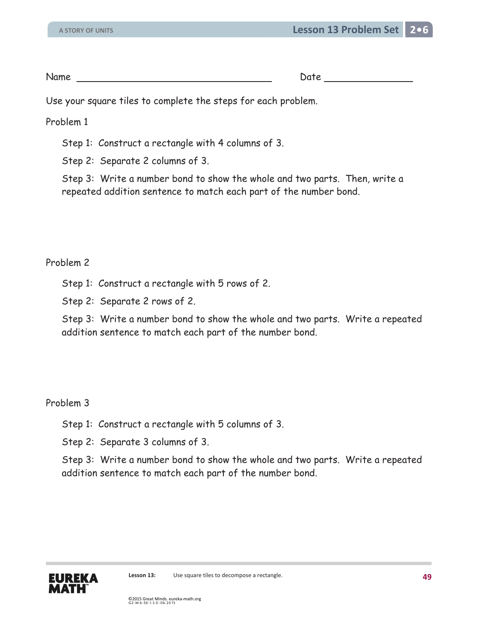Use your square tiles to complete the steps for each problem.

Problem 1

Step 1: Construct a rectangle with 4 columns of 3.

Step 2: Separate 2 columns of 3.

Step 3: Write a number bond to show the whole and two parts. Then, write a repeated addition sentence to match each part of the number bond.

## Problem 2

Step 1: Construct a rectangle with 5 rows of 2.

Step 2: Separate 2 rows of 2.

Step 3: Write a number bond to show the whole and two parts. Write a repeated addition sentence to match each part of the number bond.

## Problem 3

Step 1: Construct a rectangle with 5 columns of 3.

Step 2: Separate 3 columns of 3.

Step 3: Write a number bond to show the whole and two parts. Write a repeated addition sentence to match each part of the number bond.

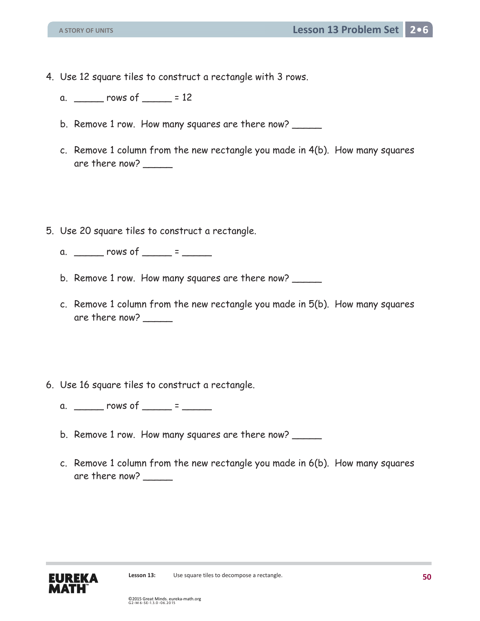- 4. Use 12 square tiles to construct a rectangle with 3 rows.
	- a. \_\_\_\_\_ rows of \_\_\_\_\_ = 12
	- b. Remove 1 row. How many squares are there now?
	- c. Remove 1 column from the new rectangle you made in 4(b). How many squares are there now? \_\_\_\_\_
- 5. Use 20 square tiles to construct a rectangle.
	- a. \_\_\_\_\_\_\_ rows of \_\_\_\_\_\_ = \_\_\_\_\_\_
	- b. Remove 1 row. How many squares are there now?
	- c. Remove 1 column from the new rectangle you made in 5(b). How many squares are there now?  $\_\_$
- 6. Use 16 square tiles to construct a rectangle.
	- a. \_\_\_\_\_\_\_ rows of \_\_\_\_\_\_ = \_\_\_\_\_\_
	- b. Remove 1 row. How many squares are there now?
	- c. Remove 1 column from the new rectangle you made in 6(b). How many squares are there now? \_\_\_\_\_

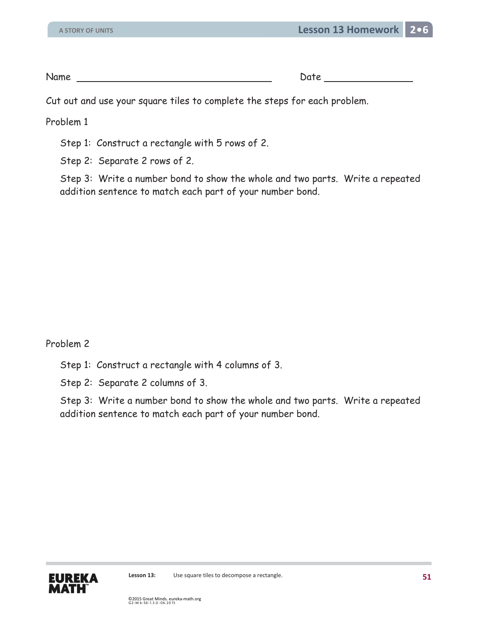Cut out and use your square tiles to complete the steps for each problem.

Problem 1

Step 1: Construct a rectangle with 5 rows of 2.

Step 2: Separate 2 rows of 2.

Step 3: Write a number bond to show the whole and two parts. Write a repeated addition sentence to match each part of your number bond.

Problem 2

Step 1: Construct a rectangle with 4 columns of 3.

Step 2: Separate 2 columns of 3.

Step 3: Write a number bond to show the whole and two parts. Write a repeated addition sentence to match each part of your number bond.

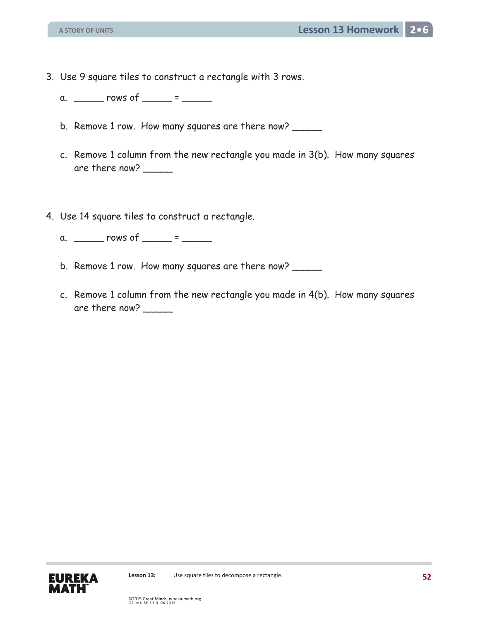- 3. Use 9 square tiles to construct a rectangle with 3 rows.
	- a.  $\frac{\ }{\ }$  rows of  $\frac{\ }{\ }$  =  $\frac{\ }{\ }$
	- b. Remove 1 row. How many squares are there now?
	- c. Remove 1 column from the new rectangle you made in 3(b). How many squares are there now? \_\_\_\_\_
- 4. Use 14 square tiles to construct a rectangle.
	- a.  $\frac{1}{2}$  rows of  $\frac{1}{2}$  =  $\frac{1}{2}$
	- b. Remove 1 row. How many squares are there now?
	- c. Remove 1 column from the new rectangle you made in 4(b). How many squares are there now?  $\_\_$

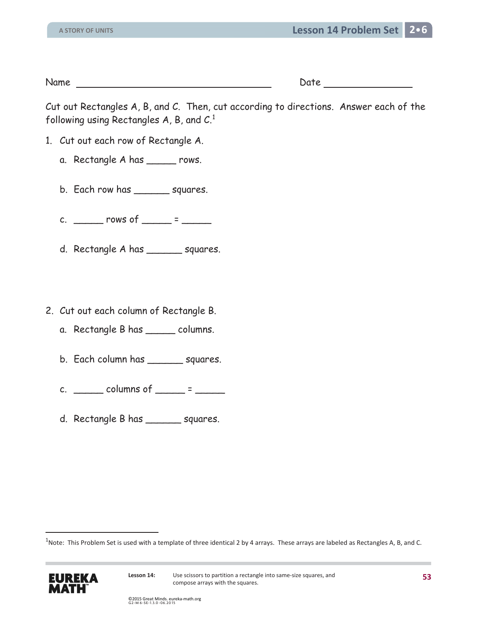Cut out Rectangles A, B, and C. Then, cut according to directions. Answer each of the following using Rectangles A, B, and C.<sup>1</sup>

- 1. Cut out each row of Rectangle A.
	- a. Rectangle A has \_\_\_\_\_ rows.
	- b. Each row has \_\_\_\_\_\_\_ squares.
	- c. \_\_\_\_\_\_\_ rows of \_\_\_\_\_ = \_\_\_\_\_\_
	- d. Rectangle A has \_\_\_\_\_\_ squares.
- 2. Cut out each column of Rectangle B.
	- a. Rectangle B has \_\_\_\_\_ columns.
	- b. Each column has \_\_\_\_\_\_ squares.
	- c.  $\frac{\text{columns of}}{\text{limits of}}$  =  $\frac{\text{S}}{\text{S}}$
	- d. Rectangle B has \_\_\_\_\_\_ squares.

 $^1$ Note: This Problem Set is used with a template of three identical 2 by 4 arrays. These arrays are labeled as Rectangles A, B, and C.



 $\overline{a}$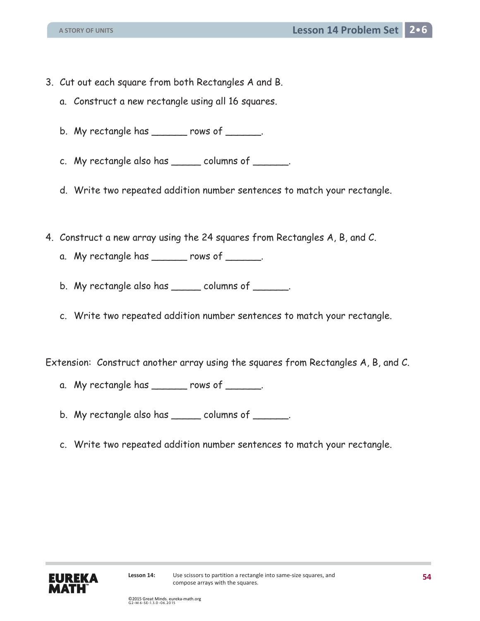- 3. Cut out each square from both Rectangles A and B.
	- a. Construct a new rectangle using all 16 squares.
	- b. My rectangle has \_\_\_\_\_\_ rows of \_\_\_\_\_\_.
	- c. My rectangle also has \_\_\_\_\_ columns of \_\_\_\_\_\_.
	- d. Write two repeated addition number sentences to match your rectangle.
- 4. Construct a new array using the 24 squares from Rectangles A, B, and C.
	- a. My rectangle has \_\_\_\_\_\_ rows of \_\_\_\_\_\_.
	- b. My rectangle also has \_\_\_\_\_ columns of \_\_\_\_\_\_.
	- c. Write two repeated addition number sentences to match your rectangle.

Extension: Construct another array using the squares from Rectangles A, B, and C.

- a. My rectangle has  $\frac{1}{1-\frac{1}{2}}$  rows of  $\frac{1}{1-\frac{1}{2}}$ .
- b. My rectangle also has \_\_\_\_\_\_ columns of \_\_\_\_\_\_.
- c. Write two repeated addition number sentences to match your rectangle.

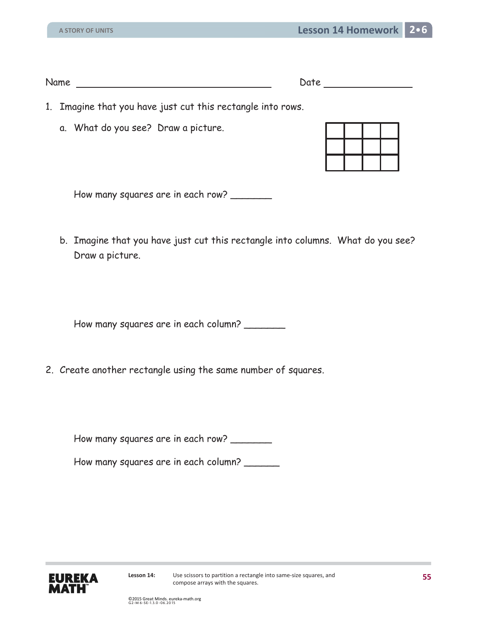| Name | Date |
|------|------|
|      |      |

| ate |
|-----|
|-----|

- 1. Imagine that you have just cut this rectangle into rows.
	- a. What do you see? Draw a picture.

How many squares are in each row? \_\_\_\_\_\_\_

b. Imagine that you have just cut this rectangle into columns. What do you see? Draw a picture.

How many squares are in each column?

2. Create another rectangle using the same number of squares.

How many squares are in each row? \_\_\_\_\_\_\_

How many squares are in each column?

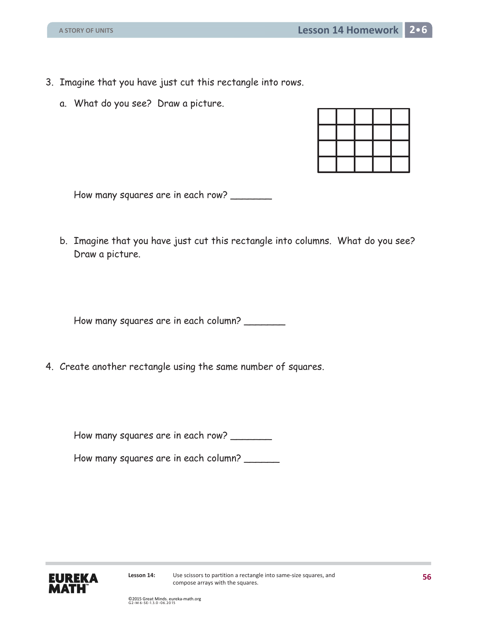- 3. Imagine that you have just cut this rectangle into rows.
	- a. What do you see? Draw a picture.

How many squares are in each row? \_\_\_\_\_\_\_

b. Imagine that you have just cut this rectangle into columns. What do you see? Draw a picture.

How many squares are in each column? \_\_\_\_\_\_\_

4. Create another rectangle using the same number of squares.

How many squares are in each row? \_\_\_\_\_\_\_

How many squares are in each column?

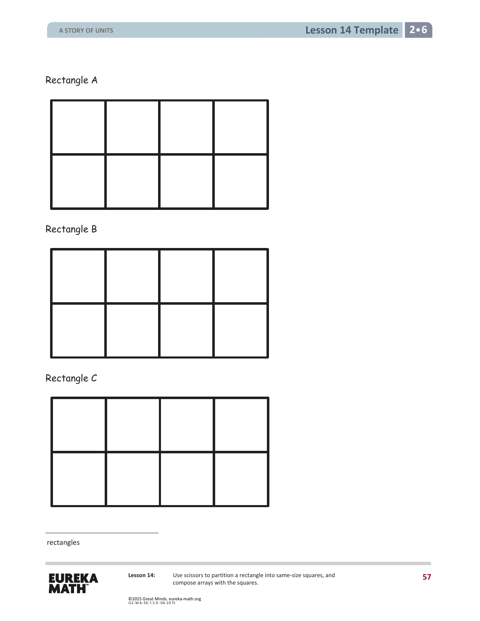Rectangle A

Rectangle B

Rectangle C



rectangles

 $\overline{a}$ 



**Lesson 14:** Use scissors to partition a rectangle into same-size squares, and compose arrays with the squares.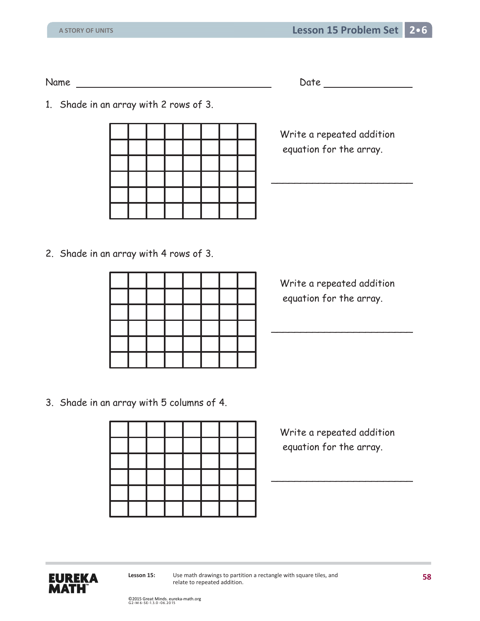Name Date Date Date

1. Shade in an array with 2 rows of 3.

|  |  |  |  | Write a repeated addition<br>equation for the array. |
|--|--|--|--|------------------------------------------------------|
|  |  |  |  |                                                      |
|  |  |  |  |                                                      |

2. Shade in an array with 4 rows of 3.

|  |  |  |  | Write a repeated addition<br>equation for the array. |
|--|--|--|--|------------------------------------------------------|
|  |  |  |  |                                                      |
|  |  |  |  |                                                      |
|  |  |  |  |                                                      |

3. Shade in an array with 5 columns of 4.

|  |  |  |  | Write a repeated addition<br>equation for the array. |
|--|--|--|--|------------------------------------------------------|
|  |  |  |  |                                                      |
|  |  |  |  |                                                      |
|  |  |  |  |                                                      |

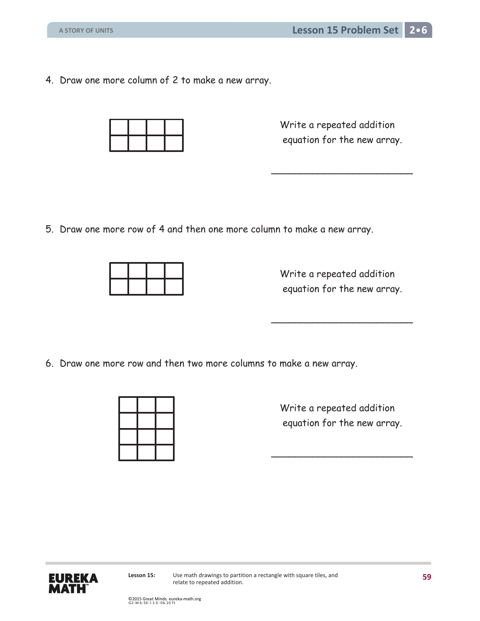4. Draw one more column of 2 to make a new array.

 Write a repeated addition equation for the new array.

5. Draw one more row of 4 and then one more column to make a new array.

 $\overline{\phantom{a}}$ 

 $\overline{\phantom{a}}$ 

 Write a repeated addition equation for the new array.

6. Draw one more row and then two more columns to make a new array.

|  |  | Write a repeated addition<br>equation for the new array. |
|--|--|----------------------------------------------------------|
|  |  |                                                          |

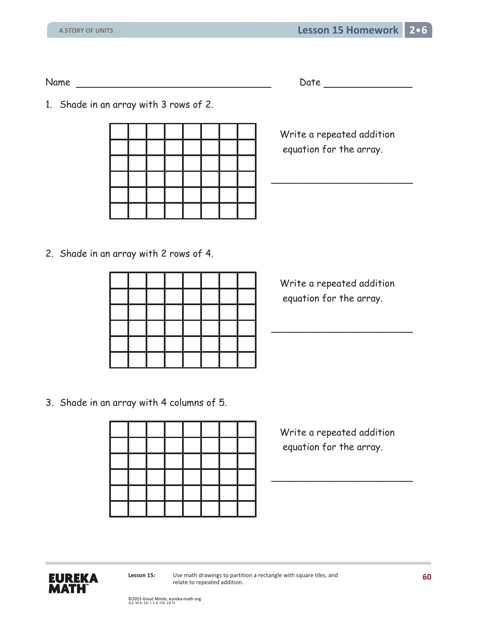1. Shade in an array with 3 rows of 2.

|  |  |  |  | Write a repeated addition<br>equation for the array. |
|--|--|--|--|------------------------------------------------------|
|  |  |  |  |                                                      |
|  |  |  |  |                                                      |

2. Shade in an array with 2 rows of 4.

|  |  |  |  | Write a repeated addition<br>equation for the array. |
|--|--|--|--|------------------------------------------------------|
|  |  |  |  |                                                      |
|  |  |  |  |                                                      |
|  |  |  |  |                                                      |

3. Shade in an array with 4 columns of 5.

|  |  |  |  | Write a repeated addition<br>equation for the array. |
|--|--|--|--|------------------------------------------------------|
|  |  |  |  |                                                      |
|  |  |  |  |                                                      |
|  |  |  |  |                                                      |

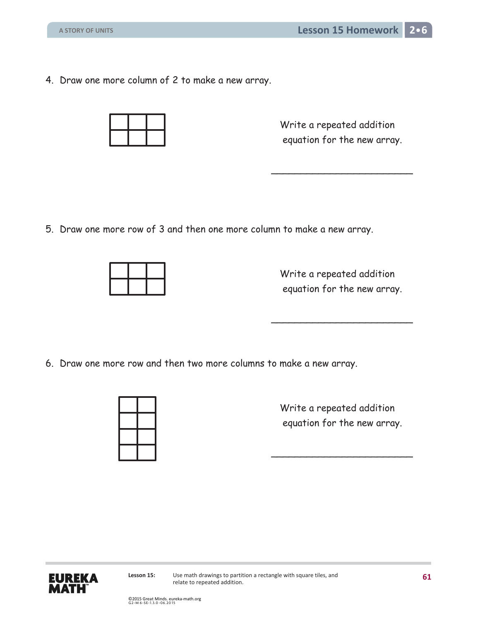4. Draw one more column of 2 to make a new array.

| <b>Service Service</b> | <b>Service Service</b> |  |
|------------------------|------------------------|--|

 Write a repeated addition equation for the new array.

5. Draw one more row of 3 and then one more column to make a new array.

 $\overline{\phantom{a}}$ 

 $\overline{\phantom{a}}$ 

 Write a repeated addition equation for the new array.

6. Draw one more row and then two more columns to make a new array.



 Write a repeated addition equation for the new array.

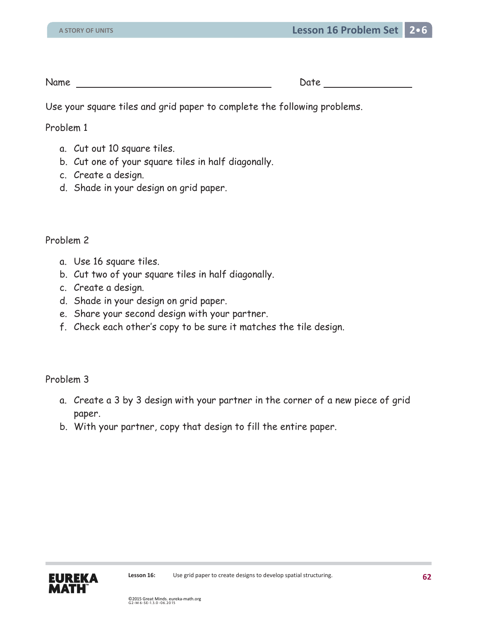Use your square tiles and grid paper to complete the following problems.

Problem 1

- a. Cut out 10 square tiles.
- b. Cut one of your square tiles in half diagonally.
- c. Create a design.
- d. Shade in your design on grid paper.

## Problem 2

- a. Use 16 square tiles.
- b. Cut two of your square tiles in half diagonally.
- c. Create a design.
- d. Shade in your design on grid paper.
- e. Share your second design with your partner.
- f. Check each other's copy to be sure it matches the tile design.

## Problem 3

- a. Create a 3 by 3 design with your partner in the corner of a new piece of grid paper.
- b. With your partner, copy that design to fill the entire paper.

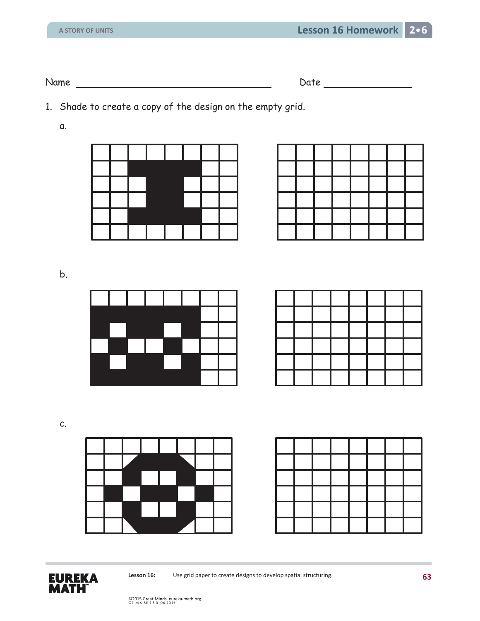1. Shade to create a copy of the design on the empty grid.

a.

|  | ш |  |  |
|--|---|--|--|
|  |   |  |  |
|  |   |  |  |
|  |   |  |  |

b.



| $\sim$ | <b>Contract Contract</b> | <b>Contract Contract</b> | <b>Contract Contract Contract Contract</b> | <b>Contract Contract Contract</b> |  |
|--------|--------------------------|--------------------------|--------------------------------------------|-----------------------------------|--|
|        | $\sim$ $\sim$            |                          |                                            | <b>Contract Contract Contract</b> |  |
|        |                          |                          |                                            |                                   |  |
|        |                          |                          |                                            |                                   |  |
|        |                          |                          |                                            |                                   |  |

c.



|  |        | <b>State</b>  |                          |  |  |
|--|--------|---------------|--------------------------|--|--|
|  |        | $\sim 10$     | $\overline{\phantom{0}}$ |  |  |
|  |        |               |                          |  |  |
|  |        |               |                          |  |  |
|  | $\sim$ | $\rightarrow$ | $\sim$                   |  |  |
|  |        |               |                          |  |  |



Lesson 16: Use grid paper to create designs to develop spatial structuring.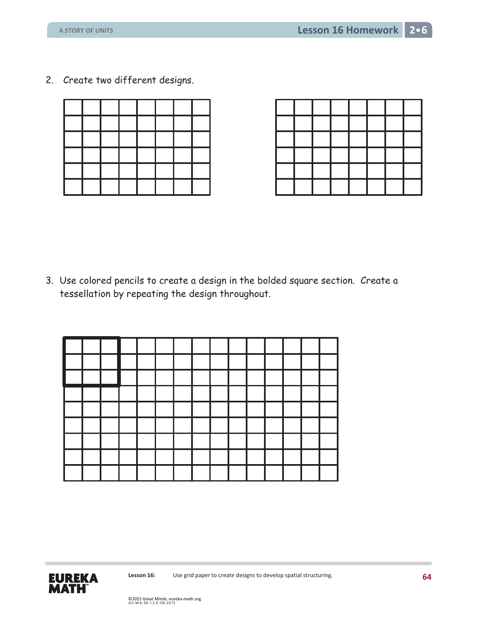2. Create two different designs.



3. Use colored pencils to create a design in the bolded square section. Create a tessellation by repeating the design throughout.

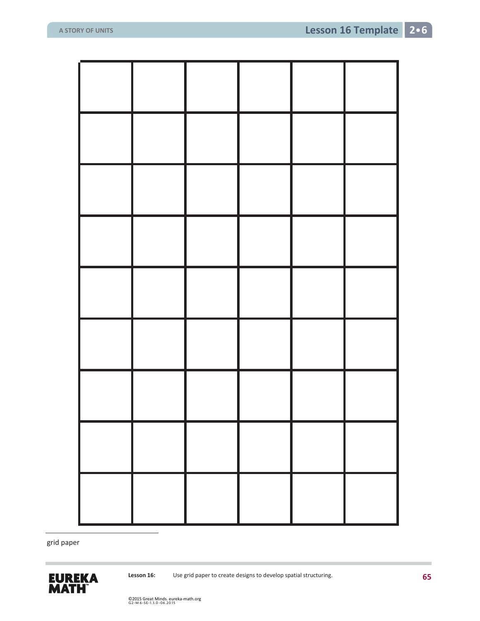grid paper

 $\overline{a}$ 

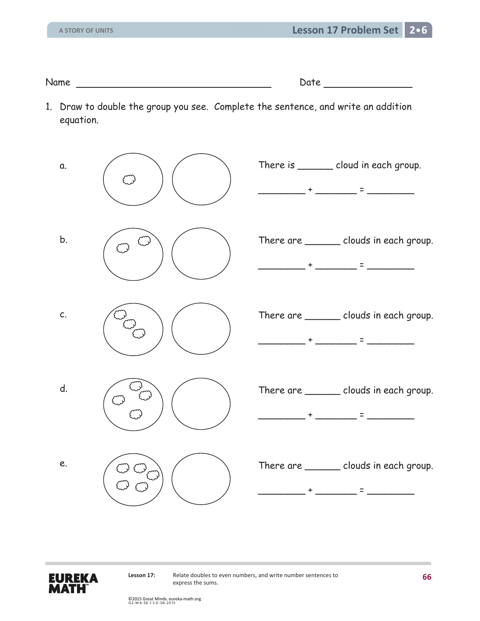Name Date Date Date

1. Draw to double the group you see. Complete the sentence, and write an addition equation.





Lesson 17: Relate doubles to even numbers, and write number sentences to express the sums.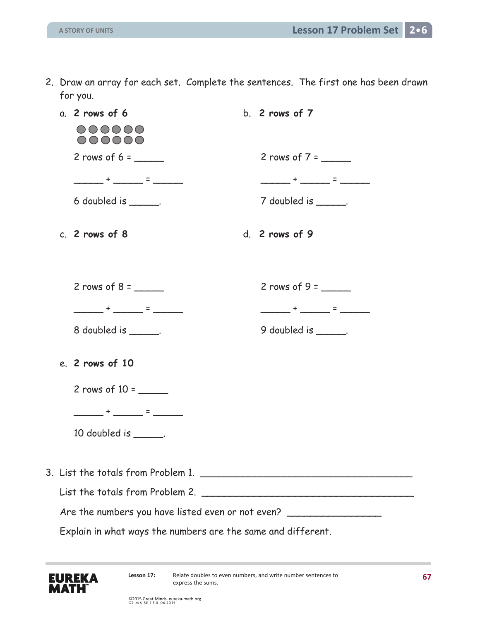| 2. Draw an array for each set. Complete the sentences. The first one has been drawn |  |  |
|-------------------------------------------------------------------------------------|--|--|
| for you.                                                                            |  |  |

|  | a. 2 rows of 6                                               | b. $2$ rows of $7$                 |
|--|--------------------------------------------------------------|------------------------------------|
|  | 000000<br>000000                                             |                                    |
|  | 2 rows of $6 =$                                              | 2 rows of $7 =$                    |
|  | ________+ ______ = ______                                    | _______+ ______ = ______           |
|  | 6 doubled is $\frac{1}{2}$ .                                 | $7$ doubled is $\_\_\_\_\_\_\_\$ . |
|  | c. $2$ rows of $8$                                           | $d.$ 2 rows of 9                   |
|  | $2$ rows of $8 =$                                            | 2 rows of $9 =$                    |
|  | ________+ ______ = ______                                    | ________+ ______ = ______          |
|  | 8 doubled is ______.                                         | 9 doubled is _______.              |
|  | e. 2 rows of 10                                              |                                    |
|  | $2$ rows of $10 =$                                           |                                    |
|  |                                                              |                                    |
|  | 10 doubled is ______.                                        |                                    |
|  |                                                              |                                    |
|  |                                                              |                                    |
|  | List the totals from Problem 2.                              |                                    |
|  | Are the numbers you have listed even or not even?            |                                    |
|  | Explain in what ways the numbers are the same and different. |                                    |
|  |                                                              |                                    |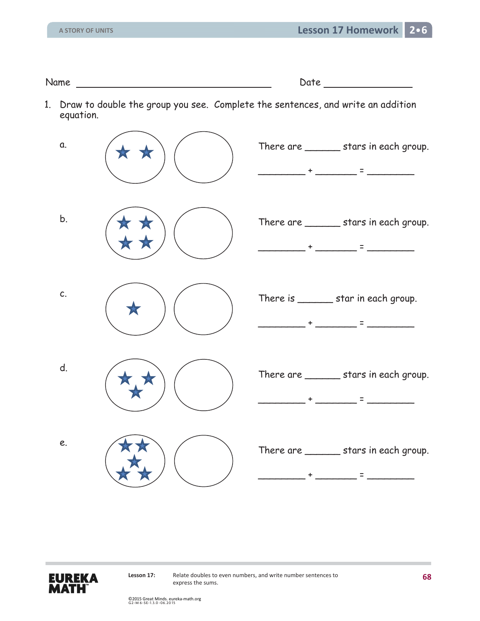Name Date Date Date

1. Draw to double the group you see. Complete the sentences, and write an addition equation.





Lesson 17: Relate doubles to even numbers, and write number sentences to express the sums.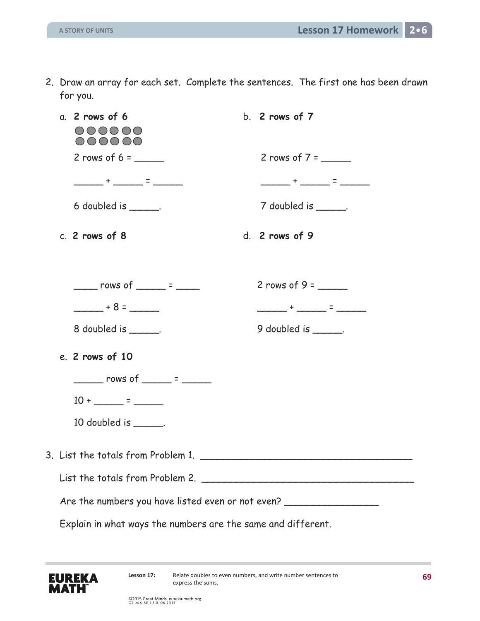| 2. Draw an array for each set. Complete the sentences. The first one has been drawn |  |  |
|-------------------------------------------------------------------------------------|--|--|
| for you.                                                                            |  |  |

|  | $a.$ 2 rows of 6<br>000000<br>000000                         | b. $2$ rows of $7$       |
|--|--------------------------------------------------------------|--------------------------|
|  | 2 rows of $6 =$                                              | 2 rows of $7 =$          |
|  | _______+ ______ = ______                                     | _______+ ______ = ______ |
|  | 6 doubled is $\frac{1}{2}$ .                                 | 7 doubled is ______.     |
|  | c. 2 rows of 8                                               | d. 2 rows of 9           |
|  | $\frac{1}{2}$ rows of $\frac{1}{2}$ = $\frac{1}{2}$          |                          |
|  | $+8=$                                                        | _______+ ______ = ______ |
|  | $8$ doubled is $\frac{1}{2}$ .                               | 9 doubled is _______.    |
|  | e. 2 rows of 10                                              |                          |
|  | $\frac{1}{2}$ rows of $\frac{1}{2}$ = $\frac{1}{2}$          |                          |
|  | $10 + \_ = \_ = \_$                                          |                          |
|  | 10 doubled is ______.                                        |                          |
|  | 3. List the totals from Problem 1.                           |                          |
|  | List the totals from Problem 2.                              |                          |
|  | Are the numbers you have listed even or not even?            |                          |
|  | Explain in what ways the numbers are the same and different. |                          |

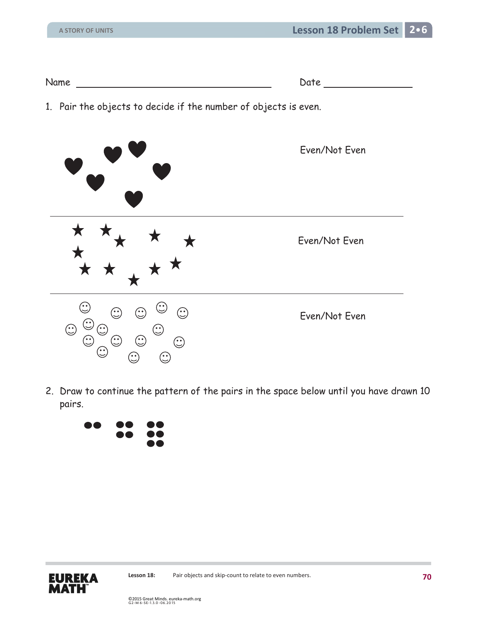| Name |  |
|------|--|
|      |  |

1. Pair the objects to decide if the number of objects is even.



2. Draw to continue the pattern of the pairs in the space below until you have drawn 10 pairs.



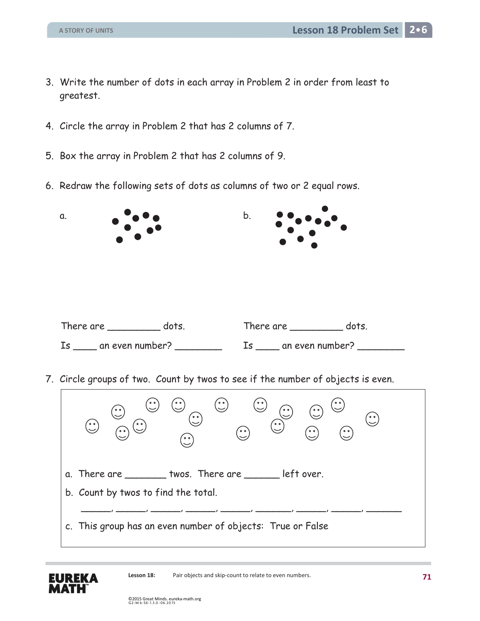- 3. Write the number of dots in each array in Problem 2 in order from least to greatest.
- 4. Circle the array in Problem 2 that has 2 columns of 7.
- 5. Box the array in Problem 2 that has 2 columns of 9.
- 6. Redraw the following sets of dots as columns of two or 2 equal rows.



7. Circle groups of two. Count by twos to see if the number of objects is even.

| °°)<br>'ه ه'<br>رب<br>$^{\prime}$ o o $^{\prime}$<br>$\bigodot$<br>ၟၟ<br>ُه هُ<br>ັ໑ ໑ັ<br>$\sqrt{2}$<br>ົ••`<br>$^{\circ}$<br>$\sqrt{2}$<br>$\ddot{\cdot}$<br>$\ddot{\cdot}$<br>$\sim$ |
|-----------------------------------------------------------------------------------------------------------------------------------------------------------------------------------------|
| a. There are ________ twos. There are _______ left over.                                                                                                                                |
| b. Count by twos to find the total.                                                                                                                                                     |
|                                                                                                                                                                                         |
| c. This group has an even number of objects: True or False                                                                                                                              |

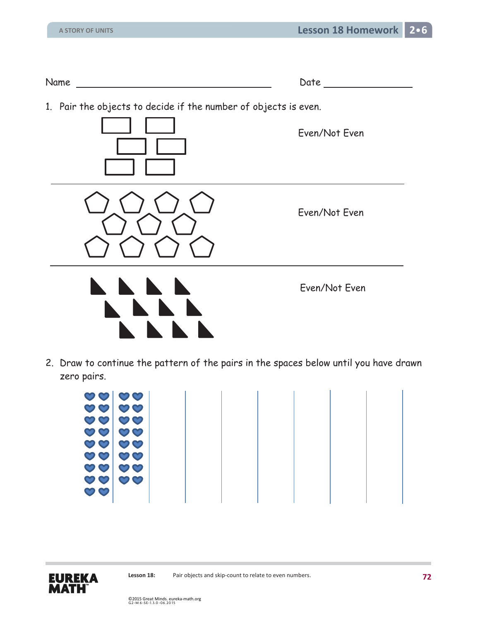| Name | )ate<br>--- |  |
|------|-------------|--|
|      |             |  |

1. Pair the objects to decide if the number of objects is even.









Even/Not Even

Even/Not Even

2. Draw to continue the pattern of the pairs in the spaces below until you have drawn zero pairs.

| $\mathcal{O}$    | $\mathbf{\circ}$                |  |  |  |  |
|------------------|---------------------------------|--|--|--|--|
|                  |                                 |  |  |  |  |
|                  |                                 |  |  |  |  |
|                  |                                 |  |  |  |  |
| $\mathcal{O}$    | $\mathbf{\circ} \mathbf{\circ}$ |  |  |  |  |
|                  |                                 |  |  |  |  |
|                  |                                 |  |  |  |  |
|                  |                                 |  |  |  |  |
| $\mathcal{O}$    | $\mathbf{\circ}$                |  |  |  |  |
|                  |                                 |  |  |  |  |
|                  |                                 |  |  |  |  |
| $\mathcal{O}$    | $\mathbf{\circ}$                |  |  |  |  |
|                  |                                 |  |  |  |  |
|                  |                                 |  |  |  |  |
| $\mathcal{O}$    | $\mathbf{\circ}$                |  |  |  |  |
|                  |                                 |  |  |  |  |
|                  |                                 |  |  |  |  |
|                  |                                 |  |  |  |  |
|                  |                                 |  |  |  |  |
| $\mathcal{O}$    | $\mathbf{\circ}$                |  |  |  |  |
|                  |                                 |  |  |  |  |
|                  |                                 |  |  |  |  |
| $\mathbf{\circ}$ | $\mathbf{\circ} \mathbf{\circ}$ |  |  |  |  |
|                  |                                 |  |  |  |  |
|                  |                                 |  |  |  |  |
|                  |                                 |  |  |  |  |
| $\mathbf{\circ}$ | $\mathbf{\circ} \mathbf{\circ}$ |  |  |  |  |
|                  |                                 |  |  |  |  |
|                  |                                 |  |  |  |  |
| $\mathbf{\circ}$ |                                 |  |  |  |  |
|                  |                                 |  |  |  |  |
|                  |                                 |  |  |  |  |
|                  |                                 |  |  |  |  |

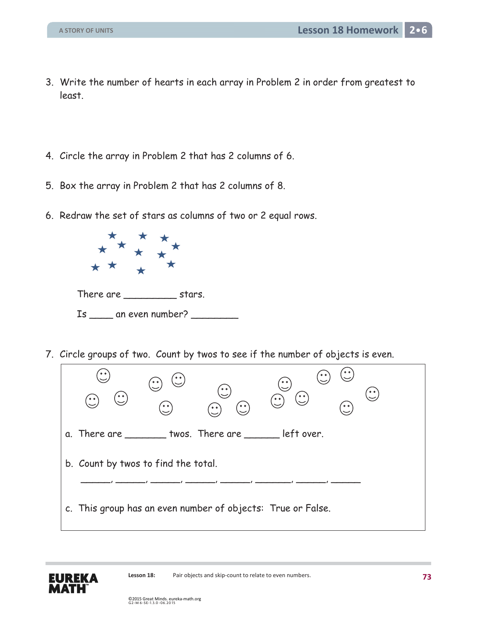- 3. Write the number of hearts in each array in Problem 2 in order from greatest to least.
- 4. Circle the array in Problem 2 that has 2 columns of 6.
- 5. Box the array in Problem 2 that has 2 columns of 8.
- 6. Redraw the set of stars as columns of two or 2 equal rows.



7. Circle groups of two. Count by twos to see if the number of objects is even.



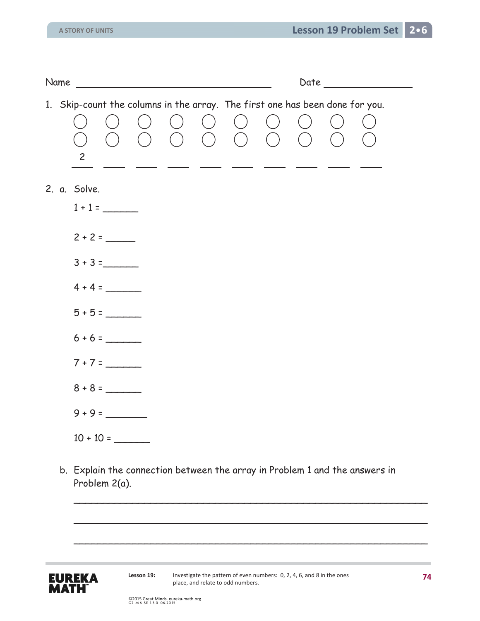| Name |                |             | <u> 1989 - Jan Stein Stein, fransk politik forsk politik (d. 1989)</u> |                                                                              |  |  |  |
|------|----------------|-------------|------------------------------------------------------------------------|------------------------------------------------------------------------------|--|--|--|
|      | $\overline{c}$ |             |                                                                        | 1. Skip-count the columns in the array. The first one has been done for you. |  |  |  |
|      | 2. a. Solve.   | $1 + 1 =$   |                                                                        |                                                                              |  |  |  |
|      |                | $2 + 2 =$   |                                                                        |                                                                              |  |  |  |
|      |                | $3 + 3 =$   |                                                                        |                                                                              |  |  |  |
|      |                | $4 + 4 =$   |                                                                        |                                                                              |  |  |  |
|      |                | $5 + 5 =$   |                                                                        |                                                                              |  |  |  |
|      |                | $6 + 6 =$   |                                                                        |                                                                              |  |  |  |
|      |                | $7 + 7 =$   |                                                                        |                                                                              |  |  |  |
|      |                | $8 + 8 =$   |                                                                        |                                                                              |  |  |  |
|      |                | $9 + 9 =$   |                                                                        |                                                                              |  |  |  |
|      |                | $10 + 10 =$ |                                                                        |                                                                              |  |  |  |

b. Explain the connection between the array in Problem 1 and the answers in Problem 2(a).



Lesson 19: Investigate the pattern of even numbers: 0, 2, 4, 6, and 8 in the ones place, and relate to odd numbers.

\_\_\_\_\_\_\_\_\_\_\_\_\_\_\_\_\_\_\_\_\_\_\_\_\_\_\_\_\_\_\_\_\_\_\_\_\_\_\_\_\_\_\_\_\_\_\_\_\_\_\_\_\_\_\_\_\_\_\_\_

 $\overline{\phantom{a}}$ 

 $\overline{\phantom{a}}$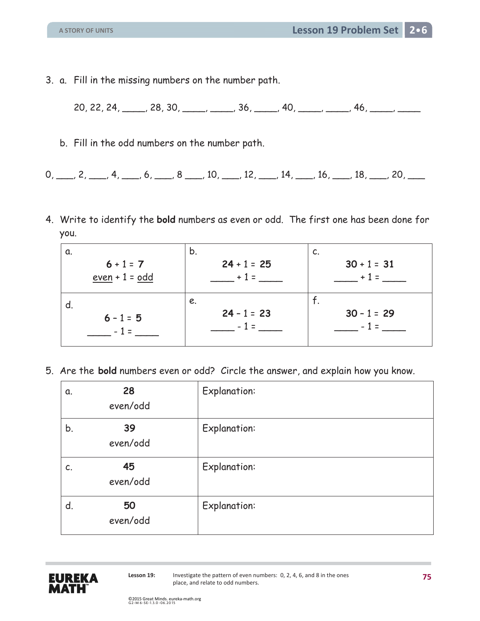- 3. a. Fill in the missing numbers on the number path.
	- 20, 22, 24, \_\_\_\_, 28, 30, \_\_\_\_, \_\_\_, 36, \_\_\_\_, 40, \_\_\_\_, \_\_\_, 46, \_\_\_\_, \_\_\_, \_\_\_
	- b. Fill in the odd numbers on the number path.
- $0, \_\_\_\_$ ,  $2, \_\_\_\_$ ,  $4, \_\_\_\_$ ,  $6, \_\_\_\_$ ,  $8, \_\_\_\_$ ,  $10, \_\_\_\_$ ,  $12, \_\_\_\_$ ,  $14, \_\_\_\_$ ,  $16, \_\_\_\_$ ,  $18, \_\_\_\_$ ,  $20, \_\_\_\_\_$
- 4. Write to identify the **bold** numbers as even or odd. The first one has been done for you.

| α.               | b.            | C.               |
|------------------|---------------|------------------|
| $6 + 1 = 7$      | $24 + 1 = 25$ | $30 + 1 = 31$    |
| $even + 1 = odd$ | $+1=$         | $+1$<br>$\equiv$ |
| d.               | e.            | . .              |
| $6 - 1 = 5$      | $24 - 1 = 23$ | $30 - 1 = 29$    |
|                  | $=$           |                  |
|                  |               |                  |

5. Are the **bold** numbers even or odd? Circle the answer, and explain how you know.

| α. | 28<br>even/odd | <b>Explanation:</b> |
|----|----------------|---------------------|
| b. | 39<br>even/odd | <b>Explanation:</b> |
| C. | 45<br>even/odd | <b>Explanation:</b> |
| d. | 50<br>even/odd | <b>Explanation:</b> |

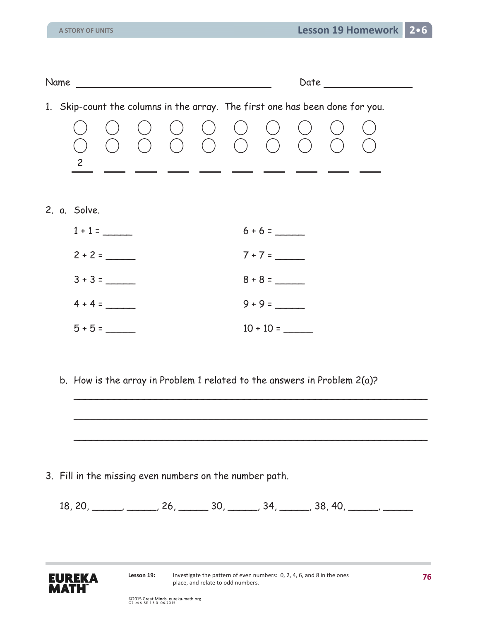| Name and the state of the state of the state of the state of the state of the state of the state of the state o |           |  |       |  |                                                 |             |  | Date |  |  |
|-----------------------------------------------------------------------------------------------------------------|-----------|--|-------|--|-------------------------------------------------|-------------|--|------|--|--|
| 1. Skip-count the columns in the array. The first one has been done for you.                                    |           |  |       |  |                                                 |             |  |      |  |  |
| $\overline{2}$                                                                                                  |           |  | $($ ) |  | $\langle \; \; \; \; \; \; \;$<br>$( ) ( ) ( )$ |             |  |      |  |  |
| 2. a. Solve.                                                                                                    |           |  |       |  |                                                 |             |  |      |  |  |
|                                                                                                                 | $1 + 1 =$ |  |       |  |                                                 | $6 + 6 =$   |  |      |  |  |
|                                                                                                                 | $2 + 2 =$ |  |       |  |                                                 | $7 + 7 =$   |  |      |  |  |
|                                                                                                                 | $3 + 3 =$ |  |       |  |                                                 | $8 + 8 =$   |  |      |  |  |
|                                                                                                                 | $4 + 4 =$ |  |       |  |                                                 | $9 + 9 =$   |  |      |  |  |
|                                                                                                                 | $5 + 5 =$ |  |       |  |                                                 | $10 + 10 =$ |  |      |  |  |

b. How is the array in Problem 1 related to the answers in Problem 2(a)?

 $\overline{\phantom{a}}$ 

 $\overline{\phantom{a}}$ 

 $\overline{\phantom{a}}$ 

3. Fill in the missing even numbers on the number path.

 $18, 20, \_\_\_\_\_\_\_\_$   $26, \_\_\_\_$  30,  $\_\_\_\_$  34,  $\_\_\_\_\_$  38, 40,  $\_\_\_\_\_\_\_\_\_$ 

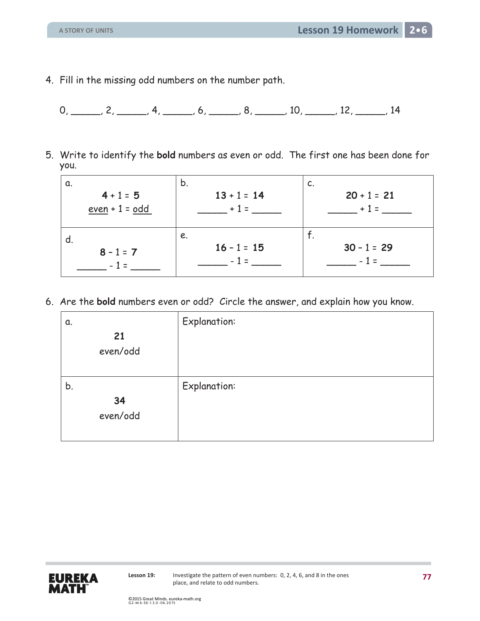4. Fill in the missing odd numbers on the number path.

 $0, \_\_\_\_\_\_\_$  2,  $\_\_\_\_\_\_$  4,  $\_\_\_\_\_$  6,  $\_\_\_\_\_$  8,  $\_\_\_\_\_$  10,  $\_\_\_\_\_$  12,  $\_\_\_\_\_$  14

5. Write to identify the **bold** numbers as even or odd. The first one has been done for you.

| b.            | c.            |
|---------------|---------------|
| $13 + 1 = 14$ | $20 + 1 = 21$ |
| $+1=$         | $+1=$         |
|               |               |
| e.            | . .           |
| $16 - 1 = 15$ | $30 - 1 = 29$ |
| $-1=$         | - 1 =         |
|               |               |

6. Are the **bold** numbers even or odd? Circle the answer, and explain how you know.

| α.             | <b>Explanation:</b> |
|----------------|---------------------|
| 21<br>even/odd |                     |
|                |                     |
| b.             | <b>Explanation:</b> |
| 34             |                     |
| even/odd       |                     |
|                |                     |

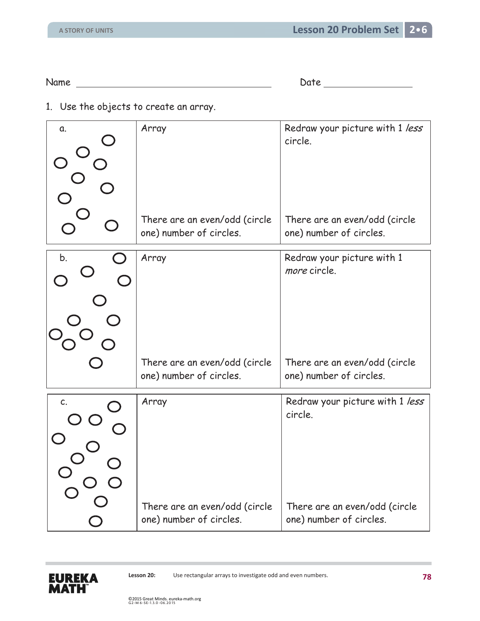Name Date Date Development of Date Date Date Date Date Date Development of Date Date Date Development of Date D

1. Use the objects to create an array.

| α. | Array                                                    | Redraw your picture with 1 less<br>circle.               |
|----|----------------------------------------------------------|----------------------------------------------------------|
|    | There are an even/odd (circle<br>one) number of circles. | There are an even/odd (circle<br>one) number of circles. |
| b. | Array                                                    | Redraw your picture with 1<br>more circle.               |
|    | There are an even/odd (circle<br>one) number of circles. | There are an even/odd (circle<br>one) number of circles. |
| C. | Array                                                    | Redraw your picture with 1 less<br>circle.               |
|    | There are an even/odd (circle<br>one) number of circles. | There are an even/odd (circle<br>one) number of circles. |

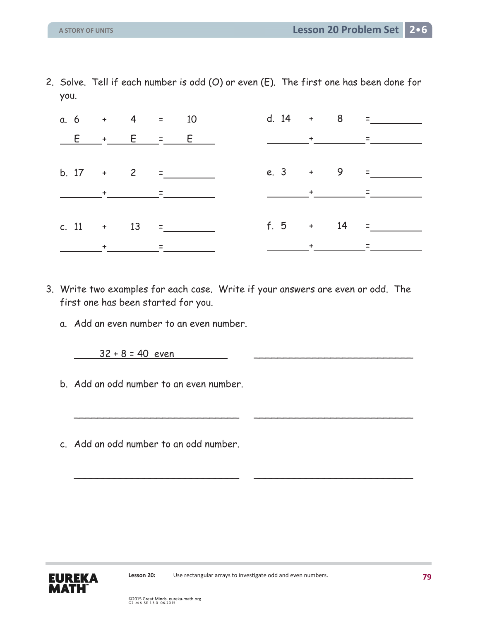2. Solve. Tell if each number is odd (O) or even (E). The first one has been done for you.

| a. $6 + 4 = 10$                                                                                                                                                                                                                                                                                                                                                                                                                                          |           |  |               |  |                                                                                                                                               | d. $14 + 8 =$     |
|----------------------------------------------------------------------------------------------------------------------------------------------------------------------------------------------------------------------------------------------------------------------------------------------------------------------------------------------------------------------------------------------------------------------------------------------------------|-----------|--|---------------|--|-----------------------------------------------------------------------------------------------------------------------------------------------|-------------------|
| $E + E = E$                                                                                                                                                                                                                                                                                                                                                                                                                                              |           |  |               |  |                                                                                                                                               |                   |
|                                                                                                                                                                                                                                                                                                                                                                                                                                                          |           |  |               |  |                                                                                                                                               |                   |
|                                                                                                                                                                                                                                                                                                                                                                                                                                                          |           |  | b. $17 + 2 =$ |  |                                                                                                                                               | e. 3 + 9 = ______ |
| $\frac{1}{\sqrt{2\pi}}\left(\frac{1}{\sqrt{2\pi}}\right)^{\frac{1}{2}}\left(\frac{1}{\sqrt{2\pi}}\right)^{\frac{1}{2}}\left(\frac{1}{\sqrt{2\pi}}\right)^{\frac{1}{2}}\left(\frac{1}{\sqrt{2\pi}}\right)^{\frac{1}{2}}\left(\frac{1}{\sqrt{2\pi}}\right)^{\frac{1}{2}}\left(\frac{1}{\sqrt{2\pi}}\right)^{\frac{1}{2}}\left(\frac{1}{\sqrt{2\pi}}\right)^{\frac{1}{2}}\left(\frac{1}{\sqrt{2\pi}}\right)^{\frac{1}{2}}\left(\frac{1}{\sqrt{2\pi}}\right$ |           |  |               |  | $\frac{1}{2}$ , $\frac{1}{2}$ , $\frac{1}{2}$ , $\frac{1}{2}$ , $\frac{1}{2}$ , $\frac{1}{2}$ , $\frac{1}{2}$ , $\frac{1}{2}$ , $\frac{1}{2}$ |                   |
|                                                                                                                                                                                                                                                                                                                                                                                                                                                          |           |  |               |  |                                                                                                                                               |                   |
| c. 11 + 13 =                                                                                                                                                                                                                                                                                                                                                                                                                                             |           |  |               |  |                                                                                                                                               |                   |
|                                                                                                                                                                                                                                                                                                                                                                                                                                                          | $\ddot{}$ |  |               |  |                                                                                                                                               |                   |

3. Write two examples for each case. Write if your answers are even or odd. The first one has been started for you.

\_\_\_\_\_\_\_\_\_\_\_\_\_\_\_\_\_\_\_\_\_\_\_\_\_\_\_\_ \_\_\_\_\_\_\_\_\_\_\_\_\_\_\_\_\_\_\_\_\_\_\_\_\_\_\_

\_\_\_\_\_\_\_\_\_\_\_\_\_\_\_\_\_\_\_\_\_\_\_\_\_\_\_\_ \_\_\_\_\_\_\_\_\_\_\_\_\_\_\_\_\_\_\_\_\_\_\_\_\_\_\_

a. Add an even number to an even number.

 $32 + 8 = 40$  even

- b. Add an odd number to an even number.
- c. Add an odd number to an odd number.

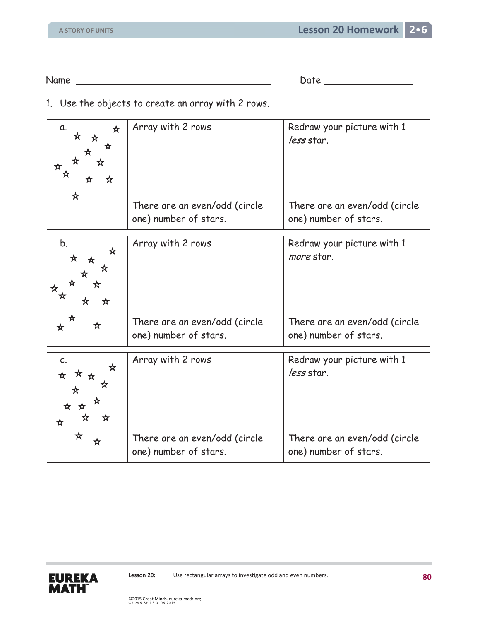Name Date Date Date

1. Use the objects to create an array with 2 rows.

| a.<br>☆<br>☆<br>★<br>☆<br>☆<br>☆<br>☆      | Array with 2 rows                                      | Redraw your picture with 1<br>less star.               |
|--------------------------------------------|--------------------------------------------------------|--------------------------------------------------------|
| ☆                                          | There are an even/odd (circle<br>one) number of stars. | There are an even/odd (circle<br>one) number of stars. |
| b.<br>☆<br>☆<br>☆<br>☆<br>☆<br>₩<br>☆<br>☆ | Array with 2 rows                                      | Redraw your picture with 1<br>more star.               |
| ☆<br>☆                                     | There are an even/odd (circle<br>one) number of stars. | There are an even/odd (circle<br>one) number of stars. |
| C.<br>☆<br>☆<br>☆☆<br>xτ<br>☆<br>☆<br>☆    | Array with 2 rows                                      | Redraw your picture with 1<br>less star.               |
| ☆<br>☆                                     | There are an even/odd (circle<br>one) number of stars. | There are an even/odd (circle<br>one) number of stars. |

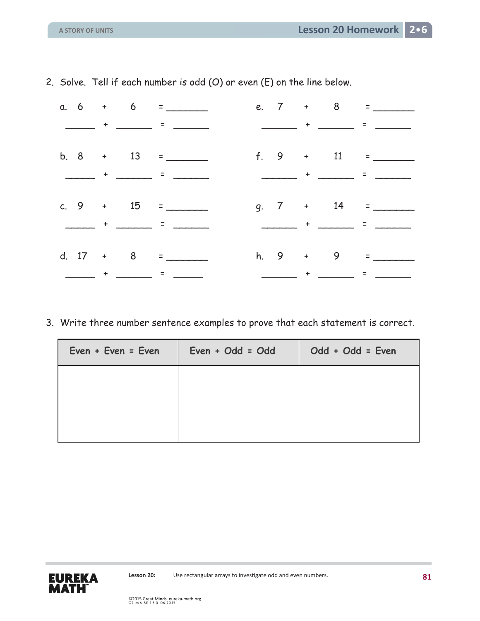| _____ + _____ = ______                                                                                                                                                                                                                                                                                                                                                                       |  |
|----------------------------------------------------------------------------------------------------------------------------------------------------------------------------------------------------------------------------------------------------------------------------------------------------------------------------------------------------------------------------------------------|--|
|                                                                                                                                                                                                                                                                                                                                                                                              |  |
| f. 9 $+$ 11 =                                                                                                                                                                                                                                                                                                                                                                                |  |
| <u> The Community of The Community of The Community of The Community of The Community of The Community of The Community of The Community of The Community of The Community of The Community of The Community of The Community of</u>                                                                                                                                                         |  |
|                                                                                                                                                                                                                                                                                                                                                                                              |  |
| $g. 7 + 14 =$                                                                                                                                                                                                                                                                                                                                                                                |  |
| <u> 2002 - Andrea Barbara, Amerikaansk politik (</u><br>$\frac{1}{2}$ , $\frac{1}{2}$ , $\frac{1}{2}$ , $\frac{1}{2}$ , $\frac{1}{2}$ , $\frac{1}{2}$ , $\frac{1}{2}$ , $\frac{1}{2}$ , $\frac{1}{2}$ , $\frac{1}{2}$                                                                                                                                                                        |  |
|                                                                                                                                                                                                                                                                                                                                                                                              |  |
| $h. 9 + 9 =$<br>d. $17 + 8 =$                                                                                                                                                                                                                                                                                                                                                                |  |
| $\frac{1}{2} \frac{1}{2} \frac{1}{2} \frac{1}{2} \frac{1}{2} \frac{1}{2} \frac{1}{2} \frac{1}{2} \frac{1}{2} \frac{1}{2} \frac{1}{2} \frac{1}{2} \frac{1}{2} \frac{1}{2} \frac{1}{2} \frac{1}{2} \frac{1}{2} \frac{1}{2} \frac{1}{2} \frac{1}{2} \frac{1}{2} \frac{1}{2} \frac{1}{2} \frac{1}{2} \frac{1}{2} \frac{1}{2} \frac{1}{2} \frac{1}{2} \frac{1}{2} \frac{1}{2} \frac{1}{2} \frac{$ |  |

2. Solve. Tell if each number is odd (O) or even (E) on the line below.

3. Write three number sentence examples to prove that each statement is correct.

| $Even + Even = Even$ | $Even + Odd = Odd$ | Odd + Odd = Even |  |  |
|----------------------|--------------------|------------------|--|--|
|                      |                    |                  |  |  |
|                      |                    |                  |  |  |
|                      |                    |                  |  |  |

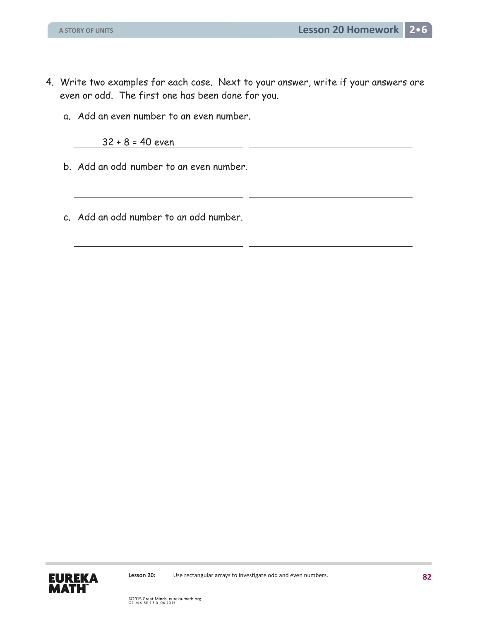- 4. Write two examples for each case. Next to your answer, write if your answers are even or odd. The first one has been done for you.
	- a. Add an even number to an even number.

32 + 8 = 40 even

- b. Add an odd number to an even number.
- c. Add an odd number to an odd number.

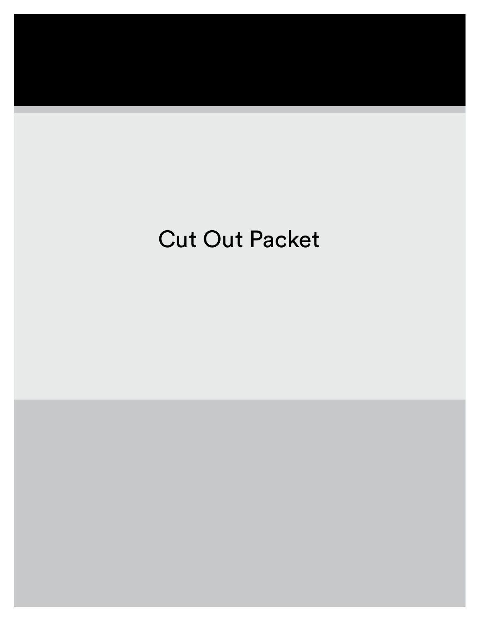## Cut Out Packet